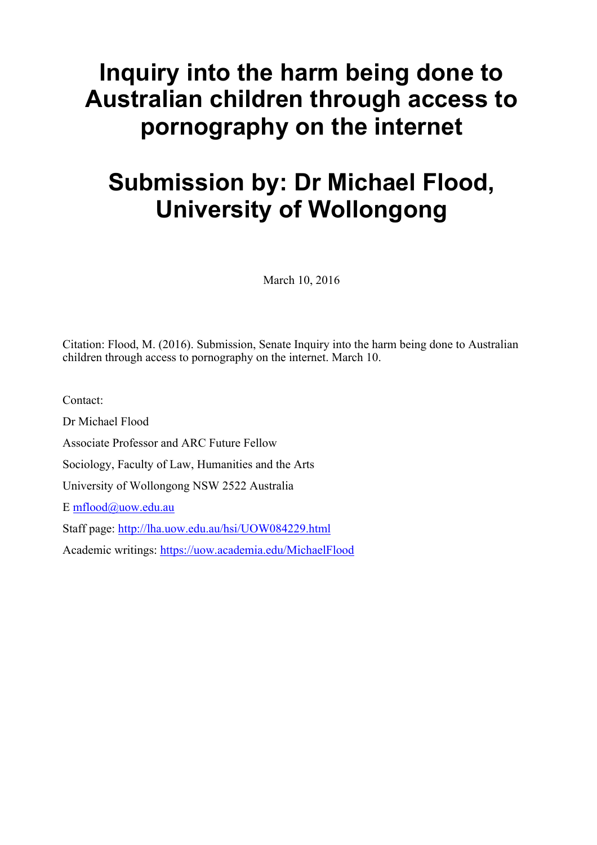# **Inquiry into the harm being done to Australian children through access to pornography on the internet**

# **Submission by: Dr Michael Flood, University of Wollongong**

March 10, 2016

Citation: Flood, M. (2016). Submission, Senate Inquiry into the harm being done to Australian children through access to pornography on the internet. March 10.

Contact:

Dr Michael Flood Associate Professor and ARC Future Fellow Sociology, Faculty of Law, Humanities and the Arts University of Wollongong NSW 2522 Australia E mflood@uow.edu.au Staff page: http://lha.uow.edu.au/hsi/UOW084229.html

Academic writings: https://uow.academia.edu/MichaelFlood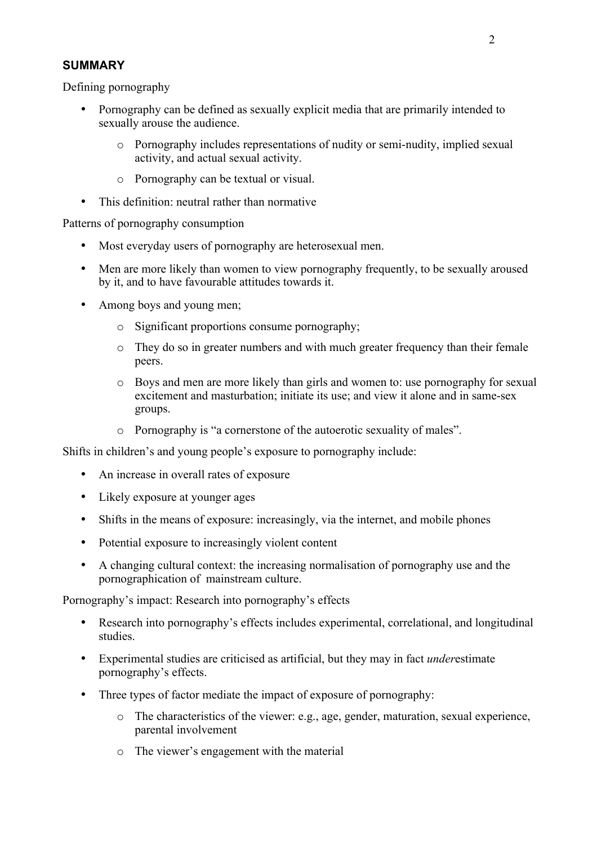# **SUMMARY**

Defining pornography

- Pornography can be defined as sexually explicit media that are primarily intended to sexually arouse the audience.
	- o Pornography includes representations of nudity or semi-nudity, implied sexual activity, and actual sexual activity.
	- o Pornography can be textual or visual.
- This definition: neutral rather than normative

Patterns of pornography consumption

- Most everyday users of pornography are heterosexual men.
- Men are more likely than women to view pornography frequently, to be sexually aroused by it, and to have favourable attitudes towards it.
- Among boys and young men;
	- o Significant proportions consume pornography;
	- o They do so in greater numbers and with much greater frequency than their female peers.
	- o Boys and men are more likely than girls and women to: use pornography for sexual excitement and masturbation; initiate its use; and view it alone and in same-sex groups.
	- o Pornography is "a cornerstone of the autoerotic sexuality of males".

Shifts in children's and young people's exposure to pornography include:

- An increase in overall rates of exposure
- Likely exposure at younger ages
- Shifts in the means of exposure: increasingly, via the internet, and mobile phones
- Potential exposure to increasingly violent content
- A changing cultural context: the increasing normalisation of pornography use and the pornographication of mainstream culture.

Pornography's impact: Research into pornography's effects

- Research into pornography's effects includes experimental, correlational, and longitudinal studies.
- Experimental studies are criticised as artificial, but they may in fact *under*estimate pornography's effects.
- Three types of factor mediate the impact of exposure of pornography:
	- o The characteristics of the viewer: e.g., age, gender, maturation, sexual experience, parental involvement
	- o The viewer's engagement with the material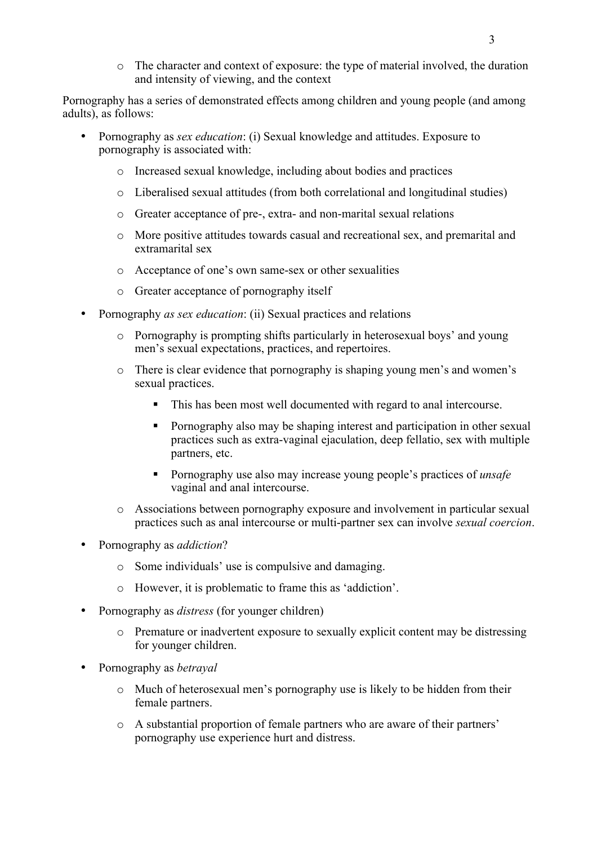o The character and context of exposure: the type of material involved, the duration and intensity of viewing, and the context

Pornography has a series of demonstrated effects among children and young people (and among adults), as follows:

- Pornography as *sex education*: (i) Sexual knowledge and attitudes. Exposure to pornography is associated with:
	- o Increased sexual knowledge, including about bodies and practices
	- o Liberalised sexual attitudes (from both correlational and longitudinal studies)
	- o Greater acceptance of pre-, extra- and non-marital sexual relations
	- o More positive attitudes towards casual and recreational sex, and premarital and extramarital sex
	- o Acceptance of one's own same-sex or other sexualities
	- o Greater acceptance of pornography itself
- Pornography *as sex education*: (ii) Sexual practices and relations
	- o Pornography is prompting shifts particularly in heterosexual boys' and young men's sexual expectations, practices, and repertoires.
	- o There is clear evidence that pornography is shaping young men's and women's sexual practices.
		- This has been most well documented with regard to anal intercourse.
		- Pornography also may be shaping interest and participation in other sexual practices such as extra-vaginal ejaculation, deep fellatio, sex with multiple partners, etc.
		- Pornography use also may increase young people's practices of *unsafe* vaginal and anal intercourse.
	- o Associations between pornography exposure and involvement in particular sexual practices such as anal intercourse or multi-partner sex can involve *sexual coercion*.
- Pornography as *addiction*?
	- o Some individuals' use is compulsive and damaging.
	- o However, it is problematic to frame this as 'addiction'.
- Pornography as *distress* (for younger children)
	- o Premature or inadvertent exposure to sexually explicit content may be distressing for younger children.
- Pornography as *betrayal*
	- o Much of heterosexual men's pornography use is likely to be hidden from their female partners.
	- o A substantial proportion of female partners who are aware of their partners' pornography use experience hurt and distress.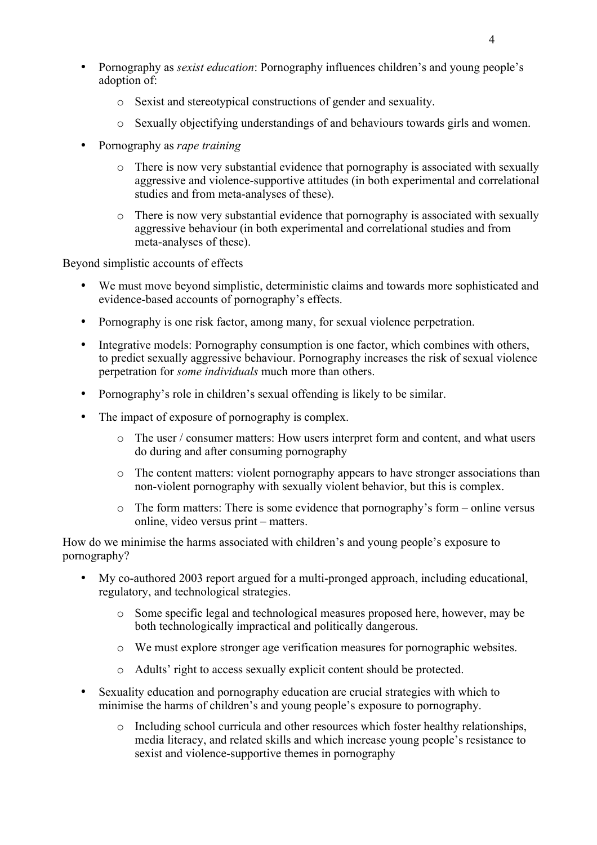- Pornography as *sexist education*: Pornography influences children's and young people's adoption of:
	- o Sexist and stereotypical constructions of gender and sexuality.
	- o Sexually objectifying understandings of and behaviours towards girls and women.
- Pornography as *rape training*
	- o There is now very substantial evidence that pornography is associated with sexually aggressive and violence-supportive attitudes (in both experimental and correlational studies and from meta-analyses of these).
	- o There is now very substantial evidence that pornography is associated with sexually aggressive behaviour (in both experimental and correlational studies and from meta-analyses of these).

Beyond simplistic accounts of effects

- We must move beyond simplistic, deterministic claims and towards more sophisticated and evidence-based accounts of pornography's effects.
- Pornography is one risk factor, among many, for sexual violence perpetration.
- Integrative models: Pornography consumption is one factor, which combines with others, to predict sexually aggressive behaviour. Pornography increases the risk of sexual violence perpetration for *some individuals* much more than others.
- Pornography's role in children's sexual offending is likely to be similar.
- The impact of exposure of pornography is complex.
	- o The user / consumer matters: How users interpret form and content, and what users do during and after consuming pornography
	- o The content matters: violent pornography appears to have stronger associations than non-violent pornography with sexually violent behavior, but this is complex.
	- o The form matters: There is some evidence that pornography's form online versus online, video versus print – matters.

How do we minimise the harms associated with children's and young people's exposure to pornography?

- My co-authored 2003 report argued for a multi-pronged approach, including educational, regulatory, and technological strategies.
	- o Some specific legal and technological measures proposed here, however, may be both technologically impractical and politically dangerous.
	- o We must explore stronger age verification measures for pornographic websites.
	- o Adults' right to access sexually explicit content should be protected.
- Sexuality education and pornography education are crucial strategies with which to minimise the harms of children's and young people's exposure to pornography.
	- o Including school curricula and other resources which foster healthy relationships, media literacy, and related skills and which increase young people's resistance to sexist and violence-supportive themes in pornography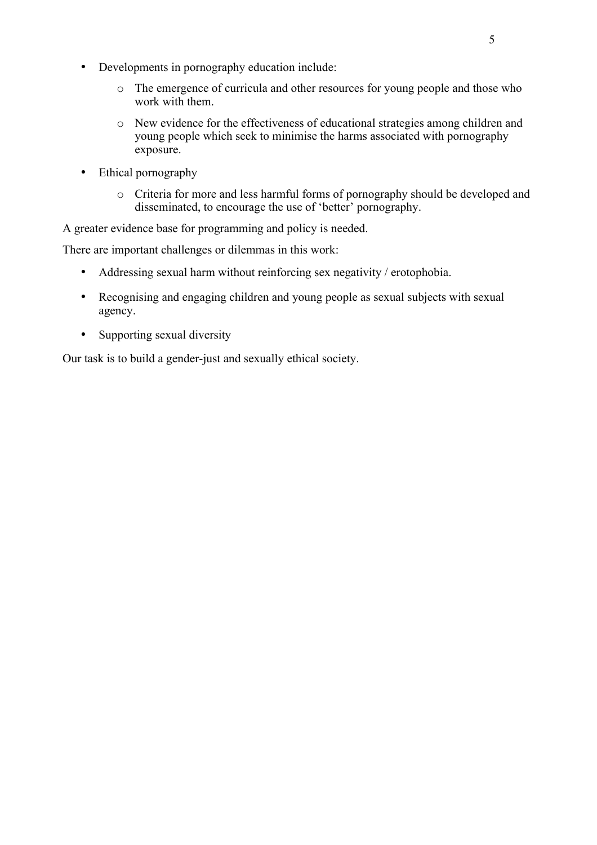- Developments in pornography education include:
	- o The emergence of curricula and other resources for young people and those who work with them.
	- o New evidence for the effectiveness of educational strategies among children and young people which seek to minimise the harms associated with pornography exposure.
- Ethical pornography
	- o Criteria for more and less harmful forms of pornography should be developed and disseminated, to encourage the use of 'better' pornography.

A greater evidence base for programming and policy is needed.

There are important challenges or dilemmas in this work:

- Addressing sexual harm without reinforcing sex negativity / erotophobia.
- Recognising and engaging children and young people as sexual subjects with sexual agency.
- Supporting sexual diversity

Our task is to build a gender-just and sexually ethical society.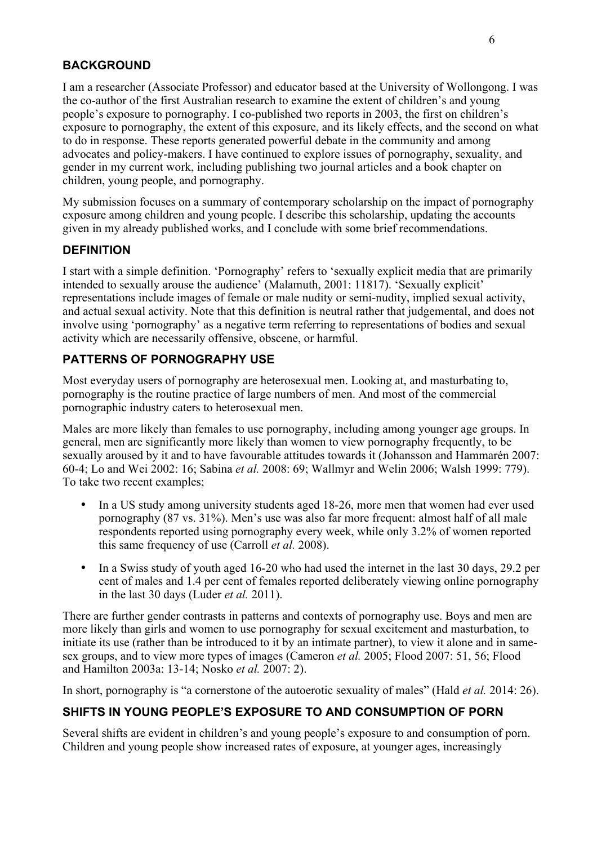# **BACKGROUND**

I am a researcher (Associate Professor) and educator based at the University of Wollongong. I was the co-author of the first Australian research to examine the extent of children's and young people's exposure to pornography. I co-published two reports in 2003, the first on children's exposure to pornography, the extent of this exposure, and its likely effects, and the second on what to do in response. These reports generated powerful debate in the community and among advocates and policy-makers. I have continued to explore issues of pornography, sexuality, and gender in my current work, including publishing two journal articles and a book chapter on children, young people, and pornography.

My submission focuses on a summary of contemporary scholarship on the impact of pornography exposure among children and young people. I describe this scholarship, updating the accounts given in my already published works, and I conclude with some brief recommendations.

## **DEFINITION**

I start with a simple definition. 'Pornography' refers to 'sexually explicit media that are primarily intended to sexually arouse the audience' (Malamuth, 2001: 11817). 'Sexually explicit' representations include images of female or male nudity or semi-nudity, implied sexual activity, and actual sexual activity. Note that this definition is neutral rather that judgemental, and does not involve using 'pornography' as a negative term referring to representations of bodies and sexual activity which are necessarily offensive, obscene, or harmful.

# **PATTERNS OF PORNOGRAPHY USE**

Most everyday users of pornography are heterosexual men. Looking at, and masturbating to, pornography is the routine practice of large numbers of men. And most of the commercial pornographic industry caters to heterosexual men.

Males are more likely than females to use pornography, including among younger age groups. In general, men are significantly more likely than women to view pornography frequently, to be sexually aroused by it and to have favourable attitudes towards it (Johansson and Hammarén 2007: 60-4; Lo and Wei 2002: 16; Sabina *et al.* 2008: 69; Wallmyr and Welin 2006; Walsh 1999: 779). To take two recent examples;

- In a US study among university students aged 18-26, more men that women had ever used pornography (87 vs. 31%). Men's use was also far more frequent: almost half of all male respondents reported using pornography every week, while only 3.2% of women reported this same frequency of use (Carroll *et al.* 2008).
- In a Swiss study of youth aged 16-20 who had used the internet in the last 30 days, 29.2 per cent of males and 1.4 per cent of females reported deliberately viewing online pornography in the last 30 days (Luder *et al.* 2011).

There are further gender contrasts in patterns and contexts of pornography use. Boys and men are more likely than girls and women to use pornography for sexual excitement and masturbation, to initiate its use (rather than be introduced to it by an intimate partner), to view it alone and in samesex groups, and to view more types of images (Cameron *et al.* 2005; Flood 2007: 51, 56; Flood and Hamilton 2003a: 13-14; Nosko *et al.* 2007: 2).

In short, pornography is "a cornerstone of the autoerotic sexuality of males" (Hald *et al.* 2014: 26).

# **SHIFTS IN YOUNG PEOPLE'S EXPOSURE TO AND CONSUMPTION OF PORN**

Several shifts are evident in children's and young people's exposure to and consumption of porn. Children and young people show increased rates of exposure, at younger ages, increasingly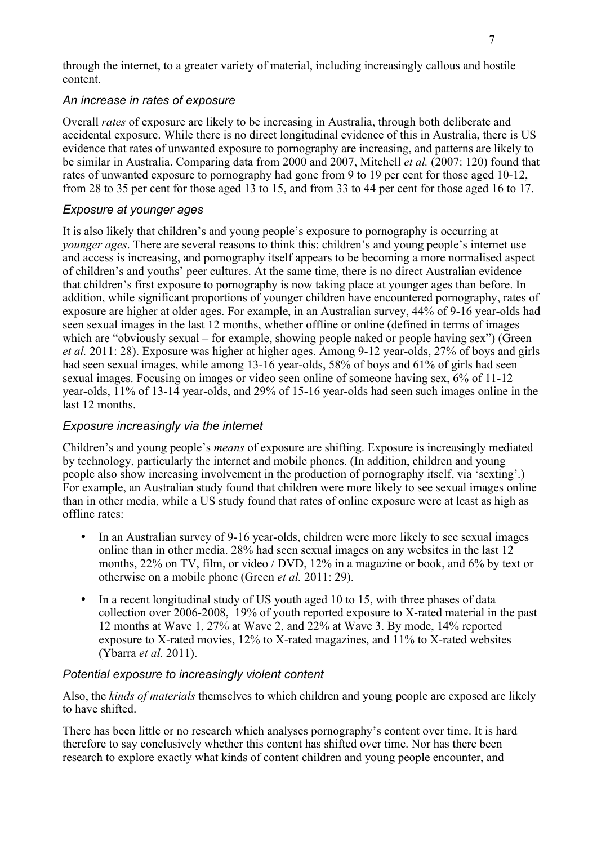through the internet, to a greater variety of material, including increasingly callous and hostile content.

#### *An increase in rates of exposure*

Overall *rates* of exposure are likely to be increasing in Australia, through both deliberate and accidental exposure. While there is no direct longitudinal evidence of this in Australia, there is US evidence that rates of unwanted exposure to pornography are increasing, and patterns are likely to be similar in Australia. Comparing data from 2000 and 2007, Mitchell *et al.* (2007: 120) found that rates of unwanted exposure to pornography had gone from 9 to 19 per cent for those aged 10-12, from 28 to 35 per cent for those aged 13 to 15, and from 33 to 44 per cent for those aged 16 to 17.

#### *Exposure at younger ages*

It is also likely that children's and young people's exposure to pornography is occurring at *younger ages*. There are several reasons to think this: children's and young people's internet use and access is increasing, and pornography itself appears to be becoming a more normalised aspect of children's and youths' peer cultures. At the same time, there is no direct Australian evidence that children's first exposure to pornography is now taking place at younger ages than before. In addition, while significant proportions of younger children have encountered pornography, rates of exposure are higher at older ages. For example, in an Australian survey, 44% of 9-16 year-olds had seen sexual images in the last 12 months, whether offline or online (defined in terms of images which are "obviously sexual – for example, showing people naked or people having sex") (Green *et al.* 2011: 28). Exposure was higher at higher ages. Among 9-12 year-olds, 27% of boys and girls had seen sexual images, while among 13-16 year-olds, 58% of boys and 61% of girls had seen sexual images. Focusing on images or video seen online of someone having sex, 6% of 11-12 year-olds, 11% of 13-14 year-olds, and 29% of 15-16 year-olds had seen such images online in the last 12 months.

### *Exposure increasingly via the internet*

Children's and young people's *means* of exposure are shifting. Exposure is increasingly mediated by technology, particularly the internet and mobile phones. (In addition, children and young people also show increasing involvement in the production of pornography itself, via 'sexting'.) For example, an Australian study found that children were more likely to see sexual images online than in other media, while a US study found that rates of online exposure were at least as high as offline rates:

- In an Australian survey of 9-16 year-olds, children were more likely to see sexual images online than in other media. 28% had seen sexual images on any websites in the last 12 months, 22% on TV, film, or video / DVD, 12% in a magazine or book, and 6% by text or otherwise on a mobile phone (Green *et al.* 2011: 29).
- In a recent longitudinal study of US youth aged 10 to 15, with three phases of data collection over 2006-2008, 19% of youth reported exposure to X-rated material in the past 12 months at Wave 1, 27% at Wave 2, and 22% at Wave 3. By mode, 14% reported exposure to X-rated movies, 12% to X-rated magazines, and 11% to X-rated websites (Ybarra *et al.* 2011).

#### *Potential exposure to increasingly violent content*

Also, the *kinds of materials* themselves to which children and young people are exposed are likely to have shifted.

There has been little or no research which analyses pornography's content over time. It is hard therefore to say conclusively whether this content has shifted over time. Nor has there been research to explore exactly what kinds of content children and young people encounter, and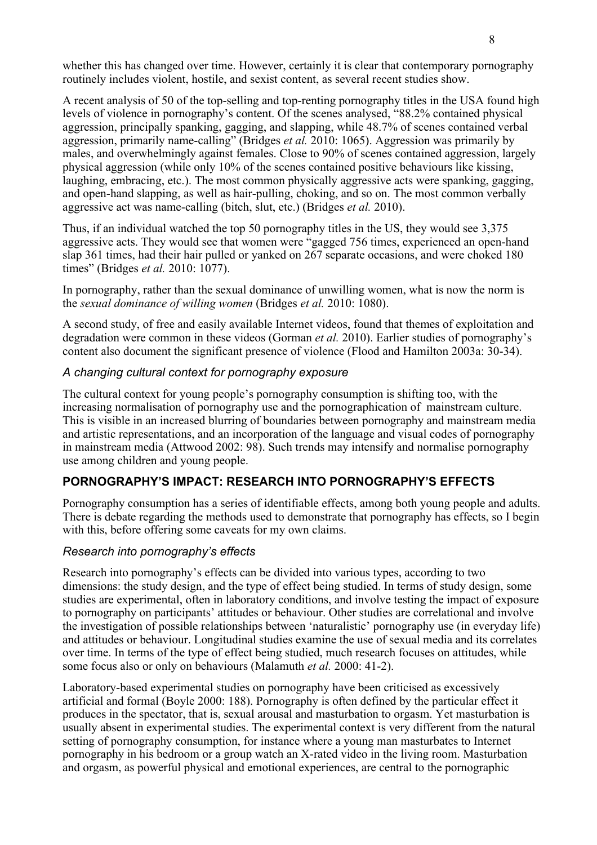whether this has changed over time. However, certainly it is clear that contemporary pornography routinely includes violent, hostile, and sexist content, as several recent studies show.

A recent analysis of 50 of the top-selling and top-renting pornography titles in the USA found high levels of violence in pornography's content. Of the scenes analysed, "88.2% contained physical aggression, principally spanking, gagging, and slapping, while 48.7% of scenes contained verbal aggression, primarily name-calling" (Bridges *et al.* 2010: 1065). Aggression was primarily by males, and overwhelmingly against females. Close to 90% of scenes contained aggression, largely physical aggression (while only 10% of the scenes contained positive behaviours like kissing, laughing, embracing, etc.). The most common physically aggressive acts were spanking, gagging, and open-hand slapping, as well as hair-pulling, choking, and so on. The most common verbally aggressive act was name-calling (bitch, slut, etc.) (Bridges *et al.* 2010).

Thus, if an individual watched the top 50 pornography titles in the US, they would see 3,375 aggressive acts. They would see that women were "gagged 756 times, experienced an open-hand slap 361 times, had their hair pulled or yanked on 267 separate occasions, and were choked 180 times" (Bridges *et al.* 2010: 1077).

In pornography, rather than the sexual dominance of unwilling women, what is now the norm is the *sexual dominance of willing women* (Bridges *et al.* 2010: 1080).

A second study, of free and easily available Internet videos, found that themes of exploitation and degradation were common in these videos (Gorman *et al.* 2010). Earlier studies of pornography's content also document the significant presence of violence (Flood and Hamilton 2003a: 30-34).

#### *A changing cultural context for pornography exposure*

The cultural context for young people's pornography consumption is shifting too, with the increasing normalisation of pornography use and the pornographication of mainstream culture. This is visible in an increased blurring of boundaries between pornography and mainstream media and artistic representations, and an incorporation of the language and visual codes of pornography in mainstream media (Attwood 2002: 98). Such trends may intensify and normalise pornography use among children and young people.

## **PORNOGRAPHY'S IMPACT: RESEARCH INTO PORNOGRAPHY'S EFFECTS**

Pornography consumption has a series of identifiable effects, among both young people and adults. There is debate regarding the methods used to demonstrate that pornography has effects, so I begin with this, before offering some caveats for my own claims.

#### *Research into pornography's effects*

Research into pornography's effects can be divided into various types, according to two dimensions: the study design, and the type of effect being studied. In terms of study design, some studies are experimental, often in laboratory conditions, and involve testing the impact of exposure to pornography on participants' attitudes or behaviour. Other studies are correlational and involve the investigation of possible relationships between 'naturalistic' pornography use (in everyday life) and attitudes or behaviour. Longitudinal studies examine the use of sexual media and its correlates over time. In terms of the type of effect being studied, much research focuses on attitudes, while some focus also or only on behaviours (Malamuth *et al.* 2000: 41-2).

Laboratory-based experimental studies on pornography have been criticised as excessively artificial and formal (Boyle 2000: 188). Pornography is often defined by the particular effect it produces in the spectator, that is, sexual arousal and masturbation to orgasm. Yet masturbation is usually absent in experimental studies. The experimental context is very different from the natural setting of pornography consumption, for instance where a young man masturbates to Internet pornography in his bedroom or a group watch an X-rated video in the living room. Masturbation and orgasm, as powerful physical and emotional experiences, are central to the pornographic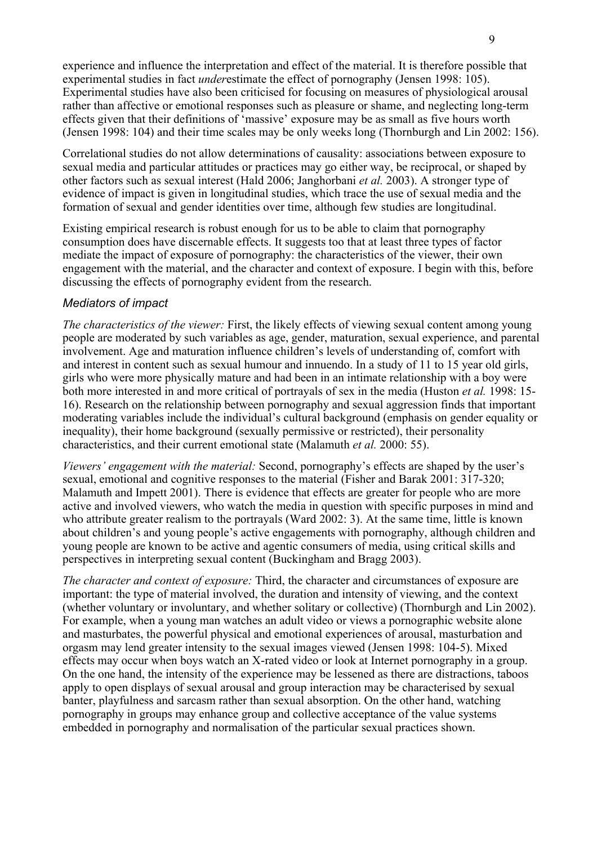experience and influence the interpretation and effect of the material. It is therefore possible that experimental studies in fact *under*estimate the effect of pornography (Jensen 1998: 105). Experimental studies have also been criticised for focusing on measures of physiological arousal rather than affective or emotional responses such as pleasure or shame, and neglecting long-term effects given that their definitions of 'massive' exposure may be as small as five hours worth (Jensen 1998: 104) and their time scales may be only weeks long (Thornburgh and Lin 2002: 156).

Correlational studies do not allow determinations of causality: associations between exposure to sexual media and particular attitudes or practices may go either way, be reciprocal, or shaped by other factors such as sexual interest (Hald 2006; Janghorbani *et al.* 2003). A stronger type of evidence of impact is given in longitudinal studies, which trace the use of sexual media and the formation of sexual and gender identities over time, although few studies are longitudinal.

Existing empirical research is robust enough for us to be able to claim that pornography consumption does have discernable effects. It suggests too that at least three types of factor mediate the impact of exposure of pornography: the characteristics of the viewer, their own engagement with the material, and the character and context of exposure. I begin with this, before discussing the effects of pornography evident from the research.

#### *Mediators of impact*

*The characteristics of the viewer:* First, the likely effects of viewing sexual content among young people are moderated by such variables as age, gender, maturation, sexual experience, and parental involvement. Age and maturation influence children's levels of understanding of, comfort with and interest in content such as sexual humour and innuendo. In a study of 11 to 15 year old girls, girls who were more physically mature and had been in an intimate relationship with a boy were both more interested in and more critical of portrayals of sex in the media (Huston *et al.* 1998: 15- 16). Research on the relationship between pornography and sexual aggression finds that important moderating variables include the individual's cultural background (emphasis on gender equality or inequality), their home background (sexually permissive or restricted), their personality characteristics, and their current emotional state (Malamuth *et al.* 2000: 55).

*Viewers' engagement with the material:* Second, pornography's effects are shaped by the user's sexual, emotional and cognitive responses to the material (Fisher and Barak 2001: 317-320; Malamuth and Impett 2001). There is evidence that effects are greater for people who are more active and involved viewers, who watch the media in question with specific purposes in mind and who attribute greater realism to the portrayals (Ward 2002: 3). At the same time, little is known about children's and young people's active engagements with pornography, although children and young people are known to be active and agentic consumers of media, using critical skills and perspectives in interpreting sexual content (Buckingham and Bragg 2003).

*The character and context of exposure:* Third, the character and circumstances of exposure are important: the type of material involved, the duration and intensity of viewing, and the context (whether voluntary or involuntary, and whether solitary or collective) (Thornburgh and Lin 2002). For example, when a young man watches an adult video or views a pornographic website alone and masturbates, the powerful physical and emotional experiences of arousal, masturbation and orgasm may lend greater intensity to the sexual images viewed (Jensen 1998: 104-5). Mixed effects may occur when boys watch an X-rated video or look at Internet pornography in a group. On the one hand, the intensity of the experience may be lessened as there are distractions, taboos apply to open displays of sexual arousal and group interaction may be characterised by sexual banter, playfulness and sarcasm rather than sexual absorption. On the other hand, watching pornography in groups may enhance group and collective acceptance of the value systems embedded in pornography and normalisation of the particular sexual practices shown.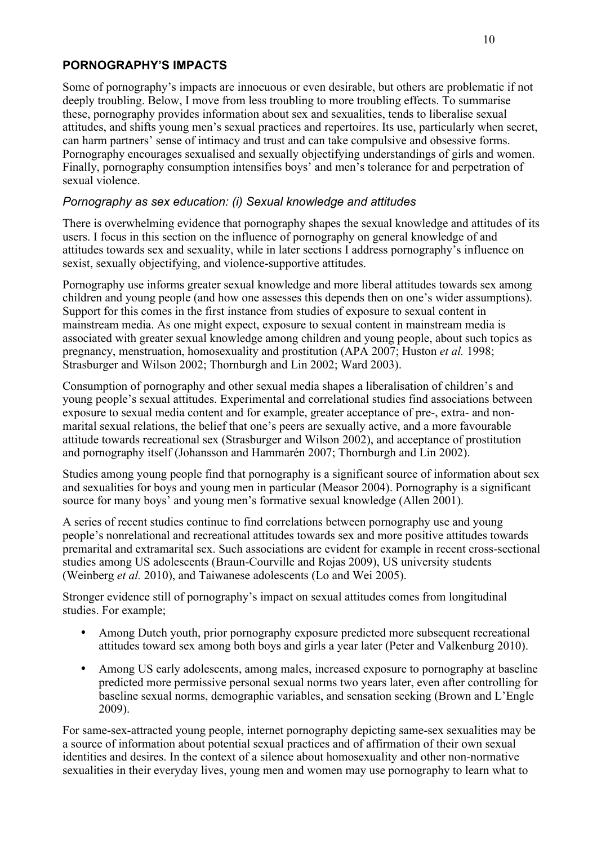# **PORNOGRAPHY'S IMPACTS**

Some of pornography's impacts are innocuous or even desirable, but others are problematic if not deeply troubling. Below, I move from less troubling to more troubling effects. To summarise these, pornography provides information about sex and sexualities, tends to liberalise sexual attitudes, and shifts young men's sexual practices and repertoires. Its use, particularly when secret, can harm partners' sense of intimacy and trust and can take compulsive and obsessive forms. Pornography encourages sexualised and sexually objectifying understandings of girls and women. Finally, pornography consumption intensifies boys' and men's tolerance for and perpetration of sexual violence.

# *Pornography as sex education: (i) Sexual knowledge and attitudes*

There is overwhelming evidence that pornography shapes the sexual knowledge and attitudes of its users. I focus in this section on the influence of pornography on general knowledge of and attitudes towards sex and sexuality, while in later sections I address pornography's influence on sexist, sexually objectifying, and violence-supportive attitudes.

Pornography use informs greater sexual knowledge and more liberal attitudes towards sex among children and young people (and how one assesses this depends then on one's wider assumptions). Support for this comes in the first instance from studies of exposure to sexual content in mainstream media. As one might expect, exposure to sexual content in mainstream media is associated with greater sexual knowledge among children and young people, about such topics as pregnancy, menstruation, homosexuality and prostitution (APA 2007; Huston *et al.* 1998; Strasburger and Wilson 2002; Thornburgh and Lin 2002; Ward 2003).

Consumption of pornography and other sexual media shapes a liberalisation of children's and young people's sexual attitudes. Experimental and correlational studies find associations between exposure to sexual media content and for example, greater acceptance of pre-, extra- and nonmarital sexual relations, the belief that one's peers are sexually active, and a more favourable attitude towards recreational sex (Strasburger and Wilson 2002), and acceptance of prostitution and pornography itself (Johansson and Hammarén 2007; Thornburgh and Lin 2002).

Studies among young people find that pornography is a significant source of information about sex and sexualities for boys and young men in particular (Measor 2004). Pornography is a significant source for many boys' and young men's formative sexual knowledge (Allen 2001).

A series of recent studies continue to find correlations between pornography use and young people's nonrelational and recreational attitudes towards sex and more positive attitudes towards premarital and extramarital sex. Such associations are evident for example in recent cross-sectional studies among US adolescents (Braun-Courville and Rojas 2009), US university students (Weinberg *et al.* 2010), and Taiwanese adolescents (Lo and Wei 2005).

Stronger evidence still of pornography's impact on sexual attitudes comes from longitudinal studies. For example;

- Among Dutch youth, prior pornography exposure predicted more subsequent recreational attitudes toward sex among both boys and girls a year later (Peter and Valkenburg 2010).
- Among US early adolescents, among males, increased exposure to pornography at baseline predicted more permissive personal sexual norms two years later, even after controlling for baseline sexual norms, demographic variables, and sensation seeking (Brown and L'Engle 2009).

For same-sex-attracted young people, internet pornography depicting same-sex sexualities may be a source of information about potential sexual practices and of affirmation of their own sexual identities and desires. In the context of a silence about homosexuality and other non-normative sexualities in their everyday lives, young men and women may use pornography to learn what to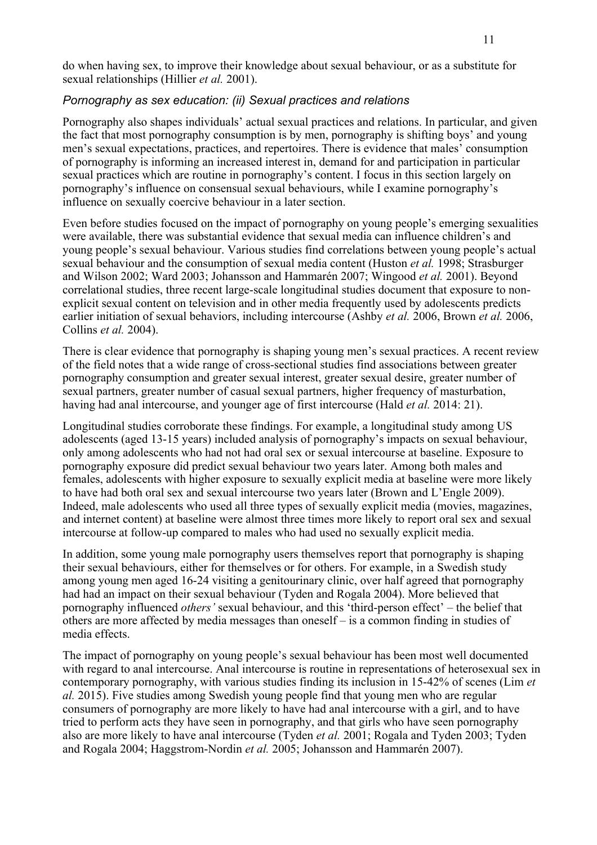do when having sex, to improve their knowledge about sexual behaviour, or as a substitute for sexual relationships (Hillier *et al.* 2001).

#### *Pornography as sex education: (ii) Sexual practices and relations*

Pornography also shapes individuals' actual sexual practices and relations. In particular, and given the fact that most pornography consumption is by men, pornography is shifting boys' and young men's sexual expectations, practices, and repertoires. There is evidence that males' consumption of pornography is informing an increased interest in, demand for and participation in particular sexual practices which are routine in pornography's content. I focus in this section largely on pornography's influence on consensual sexual behaviours, while I examine pornography's influence on sexually coercive behaviour in a later section.

Even before studies focused on the impact of pornography on young people's emerging sexualities were available, there was substantial evidence that sexual media can influence children's and young people's sexual behaviour. Various studies find correlations between young people's actual sexual behaviour and the consumption of sexual media content (Huston *et al.* 1998; Strasburger and Wilson 2002; Ward 2003; Johansson and Hammarén 2007; Wingood *et al.* 2001). Beyond correlational studies, three recent large-scale longitudinal studies document that exposure to nonexplicit sexual content on television and in other media frequently used by adolescents predicts earlier initiation of sexual behaviors, including intercourse (Ashby *et al.* 2006, Brown *et al.* 2006, Collins *et al.* 2004).

There is clear evidence that pornography is shaping young men's sexual practices. A recent review of the field notes that a wide range of cross-sectional studies find associations between greater pornography consumption and greater sexual interest, greater sexual desire, greater number of sexual partners, greater number of casual sexual partners, higher frequency of masturbation, having had anal intercourse, and younger age of first intercourse (Hald *et al.* 2014: 21).

Longitudinal studies corroborate these findings. For example, a longitudinal study among US adolescents (aged 13-15 years) included analysis of pornography's impacts on sexual behaviour, only among adolescents who had not had oral sex or sexual intercourse at baseline. Exposure to pornography exposure did predict sexual behaviour two years later. Among both males and females, adolescents with higher exposure to sexually explicit media at baseline were more likely to have had both oral sex and sexual intercourse two years later (Brown and L'Engle 2009). Indeed, male adolescents who used all three types of sexually explicit media (movies, magazines, and internet content) at baseline were almost three times more likely to report oral sex and sexual intercourse at follow-up compared to males who had used no sexually explicit media.

In addition, some young male pornography users themselves report that pornography is shaping their sexual behaviours, either for themselves or for others. For example, in a Swedish study among young men aged 16-24 visiting a genitourinary clinic, over half agreed that pornography had had an impact on their sexual behaviour (Tyden and Rogala 2004). More believed that pornography influenced *others'* sexual behaviour, and this 'third-person effect' – the belief that others are more affected by media messages than oneself – is a common finding in studies of media effects.

The impact of pornography on young people's sexual behaviour has been most well documented with regard to anal intercourse. Anal intercourse is routine in representations of heterosexual sex in contemporary pornography, with various studies finding its inclusion in 15-42% of scenes (Lim *et al.* 2015). Five studies among Swedish young people find that young men who are regular consumers of pornography are more likely to have had anal intercourse with a girl, and to have tried to perform acts they have seen in pornography, and that girls who have seen pornography also are more likely to have anal intercourse (Tyden *et al.* 2001; Rogala and Tyden 2003; Tyden and Rogala 2004; Haggstrom-Nordin *et al.* 2005; Johansson and Hammarén 2007).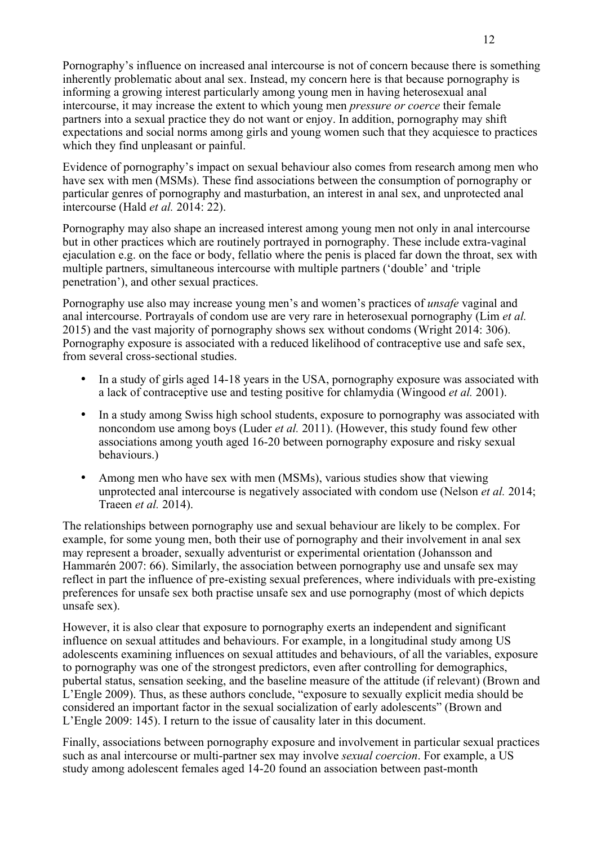Pornography's influence on increased anal intercourse is not of concern because there is something inherently problematic about anal sex. Instead, my concern here is that because pornography is informing a growing interest particularly among young men in having heterosexual anal intercourse, it may increase the extent to which young men *pressure or coerce* their female partners into a sexual practice they do not want or enjoy. In addition, pornography may shift expectations and social norms among girls and young women such that they acquiesce to practices which they find unpleasant or painful.

Evidence of pornography's impact on sexual behaviour also comes from research among men who have sex with men (MSMs). These find associations between the consumption of pornography or particular genres of pornography and masturbation, an interest in anal sex, and unprotected anal intercourse (Hald *et al.* 2014: 22).

Pornography may also shape an increased interest among young men not only in anal intercourse but in other practices which are routinely portrayed in pornography. These include extra-vaginal ejaculation e.g. on the face or body, fellatio where the penis is placed far down the throat, sex with multiple partners, simultaneous intercourse with multiple partners ('double' and 'triple penetration'), and other sexual practices.

Pornography use also may increase young men's and women's practices of *unsafe* vaginal and anal intercourse. Portrayals of condom use are very rare in heterosexual pornography (Lim *et al.* 2015) and the vast majority of pornography shows sex without condoms (Wright 2014: 306). Pornography exposure is associated with a reduced likelihood of contraceptive use and safe sex, from several cross-sectional studies.

- In a study of girls aged 14-18 years in the USA, pornography exposure was associated with a lack of contraceptive use and testing positive for chlamydia (Wingood *et al.* 2001).
- In a study among Swiss high school students, exposure to pornography was associated with noncondom use among boys (Luder *et al.* 2011). (However, this study found few other associations among youth aged 16-20 between pornography exposure and risky sexual behaviours.)
- Among men who have sex with men (MSMs), various studies show that viewing unprotected anal intercourse is negatively associated with condom use (Nelson *et al.* 2014; Traeen *et al.* 2014).

The relationships between pornography use and sexual behaviour are likely to be complex. For example, for some young men, both their use of pornography and their involvement in anal sex may represent a broader, sexually adventurist or experimental orientation (Johansson and Hammarén 2007: 66). Similarly, the association between pornography use and unsafe sex may reflect in part the influence of pre-existing sexual preferences, where individuals with pre-existing preferences for unsafe sex both practise unsafe sex and use pornography (most of which depicts unsafe sex).

However, it is also clear that exposure to pornography exerts an independent and significant influence on sexual attitudes and behaviours. For example, in a longitudinal study among US adolescents examining influences on sexual attitudes and behaviours, of all the variables, exposure to pornography was one of the strongest predictors, even after controlling for demographics, pubertal status, sensation seeking, and the baseline measure of the attitude (if relevant) (Brown and L'Engle 2009). Thus, as these authors conclude, "exposure to sexually explicit media should be considered an important factor in the sexual socialization of early adolescents" (Brown and L'Engle 2009: 145). I return to the issue of causality later in this document.

Finally, associations between pornography exposure and involvement in particular sexual practices such as anal intercourse or multi-partner sex may involve *sexual coercion*. For example, a US study among adolescent females aged 14-20 found an association between past-month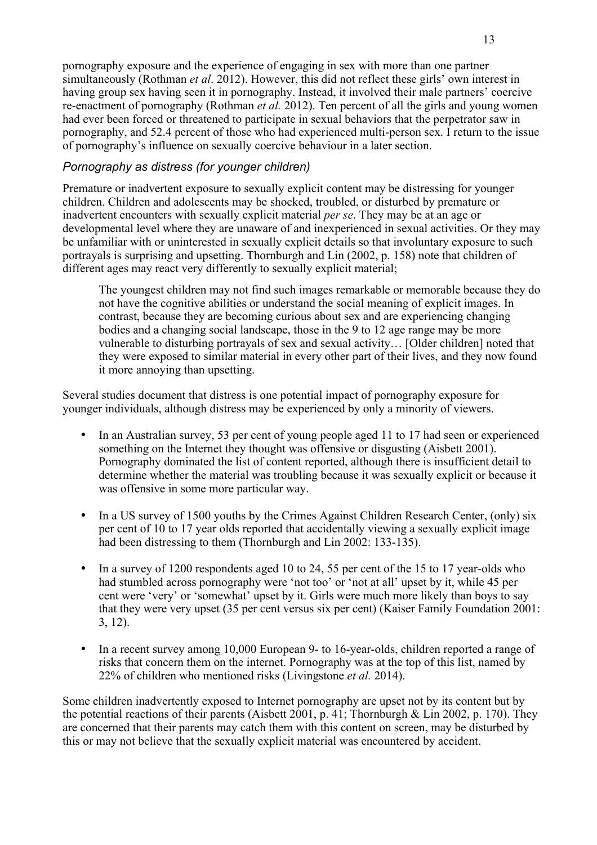pornography exposure and the experience of engaging in sex with more than one partner simultaneously (Rothman *et al*. 2012). However, this did not reflect these girls' own interest in having group sex having seen it in pornography. Instead, it involved their male partners' coercive re-enactment of pornography (Rothman *et al.* 2012). Ten percent of all the girls and young women had ever been forced or threatened to participate in sexual behaviors that the perpetrator saw in pornography, and 52.4 percent of those who had experienced multi-person sex. I return to the issue of pornography's influence on sexually coercive behaviour in a later section.

## *Pornography as distress (for younger children)*

Premature or inadvertent exposure to sexually explicit content may be distressing for younger children. Children and adolescents may be shocked, troubled, or disturbed by premature or inadvertent encounters with sexually explicit material *per se*. They may be at an age or developmental level where they are unaware of and inexperienced in sexual activities. Or they may be unfamiliar with or uninterested in sexually explicit details so that involuntary exposure to such portrayals is surprising and upsetting. Thornburgh and Lin (2002, p. 158) note that children of different ages may react very differently to sexually explicit material;

The youngest children may not find such images remarkable or memorable because they do not have the cognitive abilities or understand the social meaning of explicit images. In contrast, because they are becoming curious about sex and are experiencing changing bodies and a changing social landscape, those in the 9 to 12 age range may be more vulnerable to disturbing portrayals of sex and sexual activity… [Older children] noted that they were exposed to similar material in every other part of their lives, and they now found it more annoying than upsetting.

Several studies document that distress is one potential impact of pornography exposure for younger individuals, although distress may be experienced by only a minority of viewers.

- In an Australian survey, 53 per cent of young people aged 11 to 17 had seen or experienced something on the Internet they thought was offensive or disgusting (Aisbett 2001). Pornography dominated the list of content reported, although there is insufficient detail to determine whether the material was troubling because it was sexually explicit or because it was offensive in some more particular way.
- In a US survey of 1500 youths by the Crimes Against Children Research Center, (only) six per cent of 10 to 17 year olds reported that accidentally viewing a sexually explicit image had been distressing to them (Thornburgh and Lin 2002: 133-135).
- In a survey of 1200 respondents aged 10 to 24, 55 per cent of the 15 to 17 year-olds who had stumbled across pornography were 'not too' or 'not at all' upset by it, while 45 per cent were 'very' or 'somewhat' upset by it. Girls were much more likely than boys to say that they were very upset (35 per cent versus six per cent) (Kaiser Family Foundation 2001: 3, 12).
- In a recent survey among 10,000 European 9- to 16-year-olds, children reported a range of risks that concern them on the internet. Pornography was at the top of this list, named by 22% of children who mentioned risks (Livingstone *et al.* 2014).

Some children inadvertently exposed to Internet pornography are upset not by its content but by the potential reactions of their parents (Aisbett 2001, p. 41; Thornburgh & Lin 2002, p. 170). They are concerned that their parents may catch them with this content on screen, may be disturbed by this or may not believe that the sexually explicit material was encountered by accident.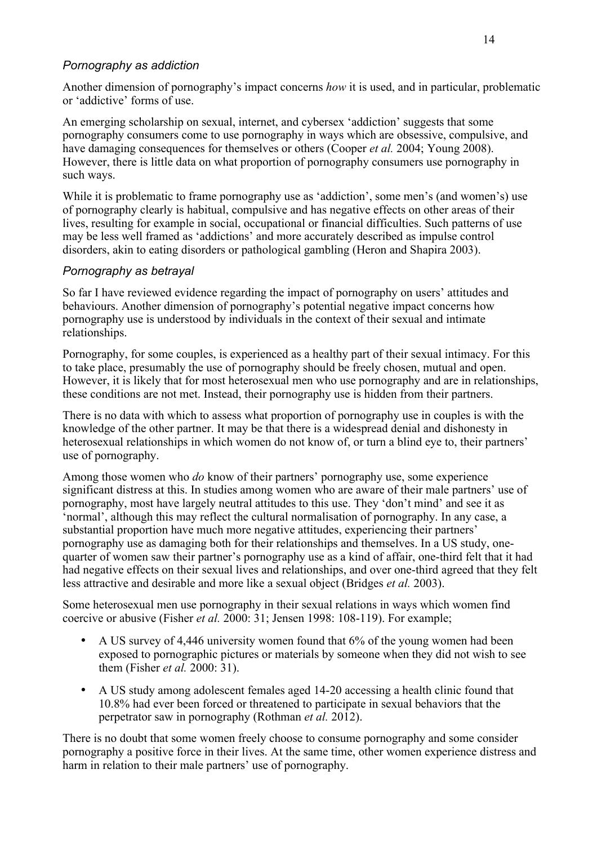## *Pornography as addiction*

Another dimension of pornography's impact concerns *how* it is used, and in particular, problematic or 'addictive' forms of use.

An emerging scholarship on sexual, internet, and cybersex 'addiction' suggests that some pornography consumers come to use pornography in ways which are obsessive, compulsive, and have damaging consequences for themselves or others (Cooper *et al.* 2004; Young 2008). However, there is little data on what proportion of pornography consumers use pornography in such ways.

While it is problematic to frame pornography use as 'addiction', some men's (and women's) use of pornography clearly is habitual, compulsive and has negative effects on other areas of their lives, resulting for example in social, occupational or financial difficulties. Such patterns of use may be less well framed as 'addictions' and more accurately described as impulse control disorders, akin to eating disorders or pathological gambling (Heron and Shapira 2003).

#### *Pornography as betrayal*

So far I have reviewed evidence regarding the impact of pornography on users' attitudes and behaviours. Another dimension of pornography's potential negative impact concerns how pornography use is understood by individuals in the context of their sexual and intimate relationships.

Pornography, for some couples, is experienced as a healthy part of their sexual intimacy. For this to take place, presumably the use of pornography should be freely chosen, mutual and open. However, it is likely that for most heterosexual men who use pornography and are in relationships, these conditions are not met. Instead, their pornography use is hidden from their partners.

There is no data with which to assess what proportion of pornography use in couples is with the knowledge of the other partner. It may be that there is a widespread denial and dishonesty in heterosexual relationships in which women do not know of, or turn a blind eye to, their partners' use of pornography.

Among those women who *do* know of their partners' pornography use, some experience significant distress at this. In studies among women who are aware of their male partners' use of pornography, most have largely neutral attitudes to this use. They 'don't mind' and see it as 'normal', although this may reflect the cultural normalisation of pornography. In any case, a substantial proportion have much more negative attitudes, experiencing their partners' pornography use as damaging both for their relationships and themselves. In a US study, onequarter of women saw their partner's pornography use as a kind of affair, one-third felt that it had had negative effects on their sexual lives and relationships, and over one-third agreed that they felt less attractive and desirable and more like a sexual object (Bridges *et al.* 2003).

Some heterosexual men use pornography in their sexual relations in ways which women find coercive or abusive (Fisher *et al.* 2000: 31; Jensen 1998: 108-119). For example;

- A US survey of 4,446 university women found that 6% of the young women had been exposed to pornographic pictures or materials by someone when they did not wish to see them (Fisher *et al.* 2000: 31).
- A US study among adolescent females aged 14-20 accessing a health clinic found that 10.8% had ever been forced or threatened to participate in sexual behaviors that the perpetrator saw in pornography (Rothman *et al.* 2012).

There is no doubt that some women freely choose to consume pornography and some consider pornography a positive force in their lives. At the same time, other women experience distress and harm in relation to their male partners' use of pornography.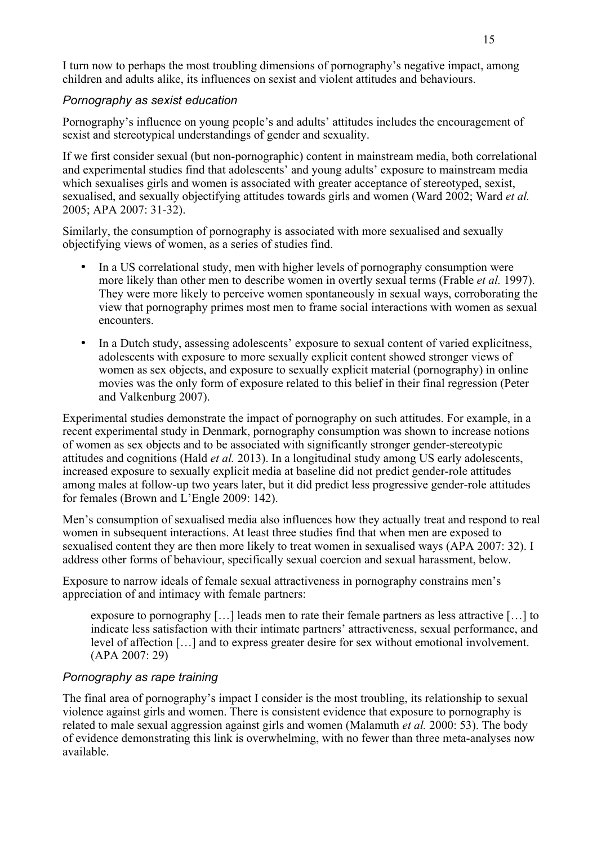I turn now to perhaps the most troubling dimensions of pornography's negative impact, among children and adults alike, its influences on sexist and violent attitudes and behaviours.

#### *Pornography as sexist education*

Pornography's influence on young people's and adults' attitudes includes the encouragement of sexist and stereotypical understandings of gender and sexuality.

If we first consider sexual (but non-pornographic) content in mainstream media, both correlational and experimental studies find that adolescents' and young adults' exposure to mainstream media which sexualises girls and women is associated with greater acceptance of stereotyped, sexist, sexualised, and sexually objectifying attitudes towards girls and women (Ward 2002; Ward *et al.* 2005; APA 2007: 31-32).

Similarly, the consumption of pornography is associated with more sexualised and sexually objectifying views of women, as a series of studies find.

- In a US correlational study, men with higher levels of pornography consumption were more likely than other men to describe women in overtly sexual terms (Frable *et al.* 1997). They were more likely to perceive women spontaneously in sexual ways, corroborating the view that pornography primes most men to frame social interactions with women as sexual encounters.
- In a Dutch study, assessing adolescents' exposure to sexual content of varied explicitness, adolescents with exposure to more sexually explicit content showed stronger views of women as sex objects, and exposure to sexually explicit material (pornography) in online movies was the only form of exposure related to this belief in their final regression (Peter and Valkenburg 2007).

Experimental studies demonstrate the impact of pornography on such attitudes. For example, in a recent experimental study in Denmark, pornography consumption was shown to increase notions of women as sex objects and to be associated with significantly stronger gender-stereotypic attitudes and cognitions (Hald *et al.* 2013). In a longitudinal study among US early adolescents, increased exposure to sexually explicit media at baseline did not predict gender-role attitudes among males at follow-up two years later, but it did predict less progressive gender-role attitudes for females (Brown and L'Engle 2009: 142).

Men's consumption of sexualised media also influences how they actually treat and respond to real women in subsequent interactions. At least three studies find that when men are exposed to sexualised content they are then more likely to treat women in sexualised ways (APA 2007: 32). I address other forms of behaviour, specifically sexual coercion and sexual harassment, below.

Exposure to narrow ideals of female sexual attractiveness in pornography constrains men's appreciation of and intimacy with female partners:

exposure to pornography […] leads men to rate their female partners as less attractive […] to indicate less satisfaction with their intimate partners' attractiveness, sexual performance, and level of affection […] and to express greater desire for sex without emotional involvement. (APA 2007: 29)

#### *Pornography as rape training*

The final area of pornography's impact I consider is the most troubling, its relationship to sexual violence against girls and women. There is consistent evidence that exposure to pornography is related to male sexual aggression against girls and women (Malamuth *et al.* 2000: 53). The body of evidence demonstrating this link is overwhelming, with no fewer than three meta-analyses now available.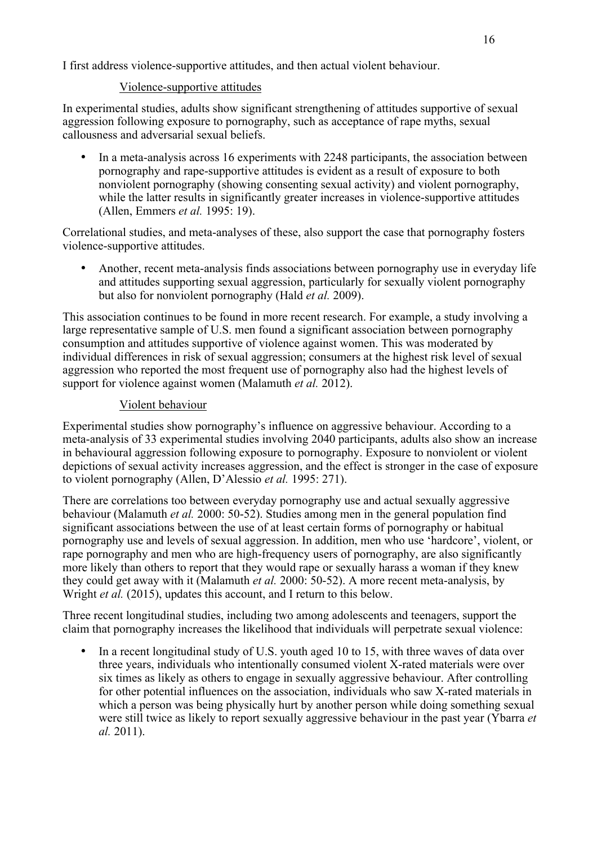I first address violence-supportive attitudes, and then actual violent behaviour.

## Violence-supportive attitudes

In experimental studies, adults show significant strengthening of attitudes supportive of sexual aggression following exposure to pornography, such as acceptance of rape myths, sexual callousness and adversarial sexual beliefs.

• In a meta-analysis across 16 experiments with 2248 participants, the association between pornography and rape-supportive attitudes is evident as a result of exposure to both nonviolent pornography (showing consenting sexual activity) and violent pornography, while the latter results in significantly greater increases in violence-supportive attitudes (Allen, Emmers *et al.* 1995: 19).

Correlational studies, and meta-analyses of these, also support the case that pornography fosters violence-supportive attitudes.

• Another, recent meta-analysis finds associations between pornography use in everyday life and attitudes supporting sexual aggression, particularly for sexually violent pornography but also for nonviolent pornography (Hald *et al.* 2009).

This association continues to be found in more recent research. For example, a study involving a large representative sample of U.S. men found a significant association between pornography consumption and attitudes supportive of violence against women. This was moderated by individual differences in risk of sexual aggression; consumers at the highest risk level of sexual aggression who reported the most frequent use of pornography also had the highest levels of support for violence against women (Malamuth *et al.* 2012).

## Violent behaviour

Experimental studies show pornography's influence on aggressive behaviour. According to a meta-analysis of 33 experimental studies involving 2040 participants, adults also show an increase in behavioural aggression following exposure to pornography. Exposure to nonviolent or violent depictions of sexual activity increases aggression, and the effect is stronger in the case of exposure to violent pornography (Allen, D'Alessio *et al.* 1995: 271).

There are correlations too between everyday pornography use and actual sexually aggressive behaviour (Malamuth *et al.* 2000: 50-52). Studies among men in the general population find significant associations between the use of at least certain forms of pornography or habitual pornography use and levels of sexual aggression. In addition, men who use 'hardcore', violent, or rape pornography and men who are high-frequency users of pornography, are also significantly more likely than others to report that they would rape or sexually harass a woman if they knew they could get away with it (Malamuth *et al.* 2000: 50-52). A more recent meta-analysis, by Wright *et al.* (2015), updates this account, and I return to this below.

Three recent longitudinal studies, including two among adolescents and teenagers, support the claim that pornography increases the likelihood that individuals will perpetrate sexual violence:

• In a recent longitudinal study of U.S. youth aged 10 to 15, with three waves of data over three years, individuals who intentionally consumed violent X-rated materials were over six times as likely as others to engage in sexually aggressive behaviour. After controlling for other potential influences on the association, individuals who saw X-rated materials in which a person was being physically hurt by another person while doing something sexual were still twice as likely to report sexually aggressive behaviour in the past year (Ybarra *et al.* 2011).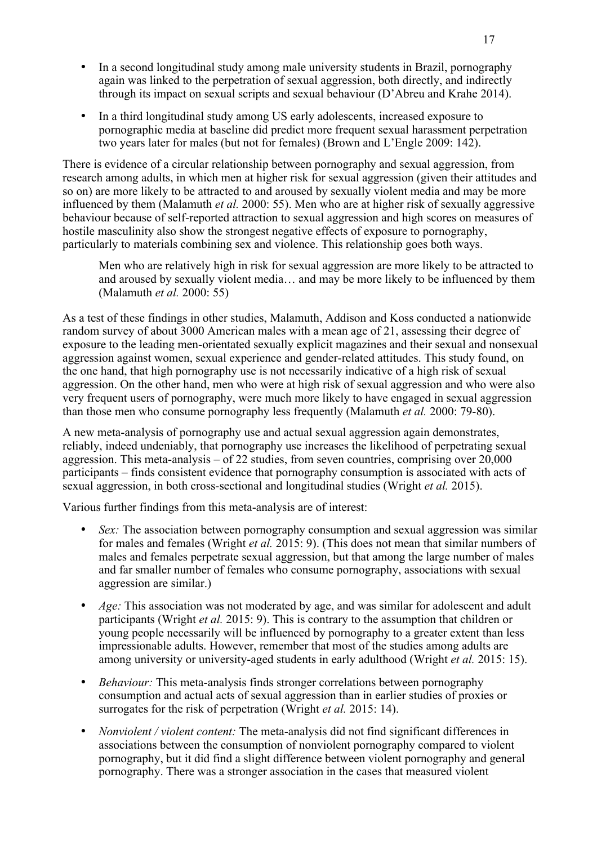- In a second longitudinal study among male university students in Brazil, pornography again was linked to the perpetration of sexual aggression, both directly, and indirectly through its impact on sexual scripts and sexual behaviour (D'Abreu and Krahe 2014).
- In a third longitudinal study among US early adolescents, increased exposure to pornographic media at baseline did predict more frequent sexual harassment perpetration two years later for males (but not for females) (Brown and L'Engle 2009: 142).

There is evidence of a circular relationship between pornography and sexual aggression, from research among adults, in which men at higher risk for sexual aggression (given their attitudes and so on) are more likely to be attracted to and aroused by sexually violent media and may be more influenced by them (Malamuth *et al.* 2000: 55). Men who are at higher risk of sexually aggressive behaviour because of self-reported attraction to sexual aggression and high scores on measures of hostile masculinity also show the strongest negative effects of exposure to pornography, particularly to materials combining sex and violence. This relationship goes both ways.

Men who are relatively high in risk for sexual aggression are more likely to be attracted to and aroused by sexually violent media… and may be more likely to be influenced by them (Malamuth *et al.* 2000: 55)

As a test of these findings in other studies, Malamuth, Addison and Koss conducted a nationwide random survey of about 3000 American males with a mean age of 21, assessing their degree of exposure to the leading men-orientated sexually explicit magazines and their sexual and nonsexual aggression against women, sexual experience and gender-related attitudes. This study found, on the one hand, that high pornography use is not necessarily indicative of a high risk of sexual aggression. On the other hand, men who were at high risk of sexual aggression and who were also very frequent users of pornography, were much more likely to have engaged in sexual aggression than those men who consume pornography less frequently (Malamuth *et al.* 2000: 79-80).

A new meta-analysis of pornography use and actual sexual aggression again demonstrates, reliably, indeed undeniably, that pornography use increases the likelihood of perpetrating sexual aggression. This meta-analysis – of 22 studies, from seven countries, comprising over  $20,000$ participants – finds consistent evidence that pornography consumption is associated with acts of sexual aggression, in both cross-sectional and longitudinal studies (Wright *et al.* 2015).

Various further findings from this meta-analysis are of interest:

- *Sex:* The association between pornography consumption and sexual aggression was similar for males and females (Wright *et al.* 2015: 9). (This does not mean that similar numbers of males and females perpetrate sexual aggression, but that among the large number of males and far smaller number of females who consume pornography, associations with sexual aggression are similar.)
- *Age:* This association was not moderated by age, and was similar for adolescent and adult participants (Wright *et al.* 2015: 9). This is contrary to the assumption that children or young people necessarily will be influenced by pornography to a greater extent than less impressionable adults. However, remember that most of the studies among adults are among university or university-aged students in early adulthood (Wright *et al.* 2015: 15).
- *Behaviour:* This meta-analysis finds stronger correlations between pornography consumption and actual acts of sexual aggression than in earlier studies of proxies or surrogates for the risk of perpetration (Wright *et al.* 2015: 14).
- *Nonviolent / violent content:* The meta-analysis did not find significant differences in associations between the consumption of nonviolent pornography compared to violent pornography, but it did find a slight difference between violent pornography and general pornography. There was a stronger association in the cases that measured violent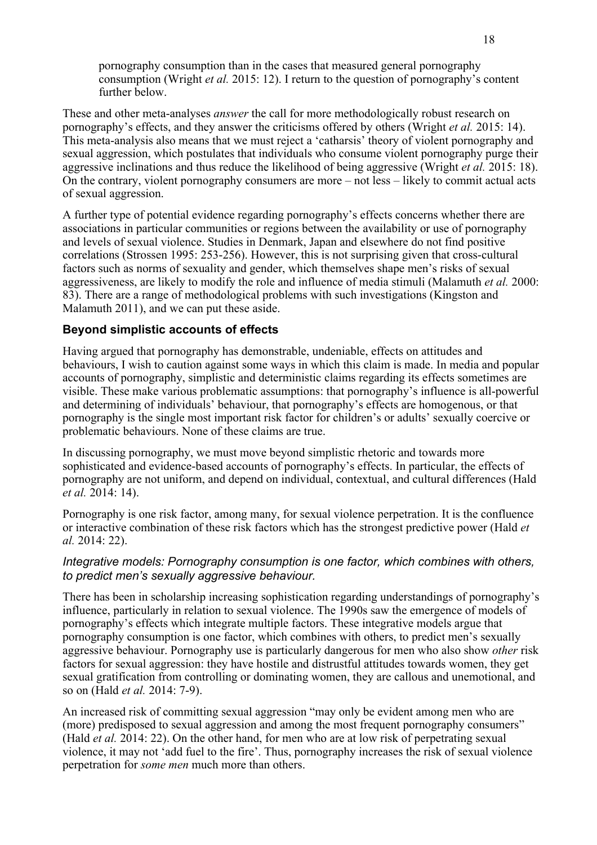pornography consumption than in the cases that measured general pornography consumption (Wright *et al.* 2015: 12). I return to the question of pornography's content further below.

These and other meta-analyses *answer* the call for more methodologically robust research on pornography's effects, and they answer the criticisms offered by others (Wright *et al.* 2015: 14). This meta-analysis also means that we must reject a 'catharsis' theory of violent pornography and sexual aggression, which postulates that individuals who consume violent pornography purge their aggressive inclinations and thus reduce the likelihood of being aggressive (Wright *et al.* 2015: 18). On the contrary, violent pornography consumers are more – not less – likely to commit actual acts of sexual aggression.

A further type of potential evidence regarding pornography's effects concerns whether there are associations in particular communities or regions between the availability or use of pornography and levels of sexual violence. Studies in Denmark, Japan and elsewhere do not find positive correlations (Strossen 1995: 253-256). However, this is not surprising given that cross-cultural factors such as norms of sexuality and gender, which themselves shape men's risks of sexual aggressiveness, are likely to modify the role and influence of media stimuli (Malamuth *et al.* 2000: 83). There are a range of methodological problems with such investigations (Kingston and Malamuth 2011), and we can put these aside.

## **Beyond simplistic accounts of effects**

Having argued that pornography has demonstrable, undeniable, effects on attitudes and behaviours, I wish to caution against some ways in which this claim is made. In media and popular accounts of pornography, simplistic and deterministic claims regarding its effects sometimes are visible. These make various problematic assumptions: that pornography's influence is all-powerful and determining of individuals' behaviour, that pornography's effects are homogenous, or that pornography is the single most important risk factor for children's or adults' sexually coercive or problematic behaviours. None of these claims are true.

In discussing pornography, we must move beyond simplistic rhetoric and towards more sophisticated and evidence-based accounts of pornography's effects. In particular, the effects of pornography are not uniform, and depend on individual, contextual, and cultural differences (Hald *et al.* 2014: 14).

Pornography is one risk factor, among many, for sexual violence perpetration. It is the confluence or interactive combination of these risk factors which has the strongest predictive power (Hald *et al.* 2014: 22).

#### *Integrative models: Pornography consumption is one factor, which combines with others, to predict men's sexually aggressive behaviour.*

There has been in scholarship increasing sophistication regarding understandings of pornography's influence, particularly in relation to sexual violence. The 1990s saw the emergence of models of pornography's effects which integrate multiple factors. These integrative models argue that pornography consumption is one factor, which combines with others, to predict men's sexually aggressive behaviour. Pornography use is particularly dangerous for men who also show *other* risk factors for sexual aggression: they have hostile and distrustful attitudes towards women, they get sexual gratification from controlling or dominating women, they are callous and unemotional, and so on (Hald *et al.* 2014: 7-9).

An increased risk of committing sexual aggression "may only be evident among men who are (more) predisposed to sexual aggression and among the most frequent pornography consumers" (Hald *et al.* 2014: 22). On the other hand, for men who are at low risk of perpetrating sexual violence, it may not 'add fuel to the fire'. Thus, pornography increases the risk of sexual violence perpetration for *some men* much more than others.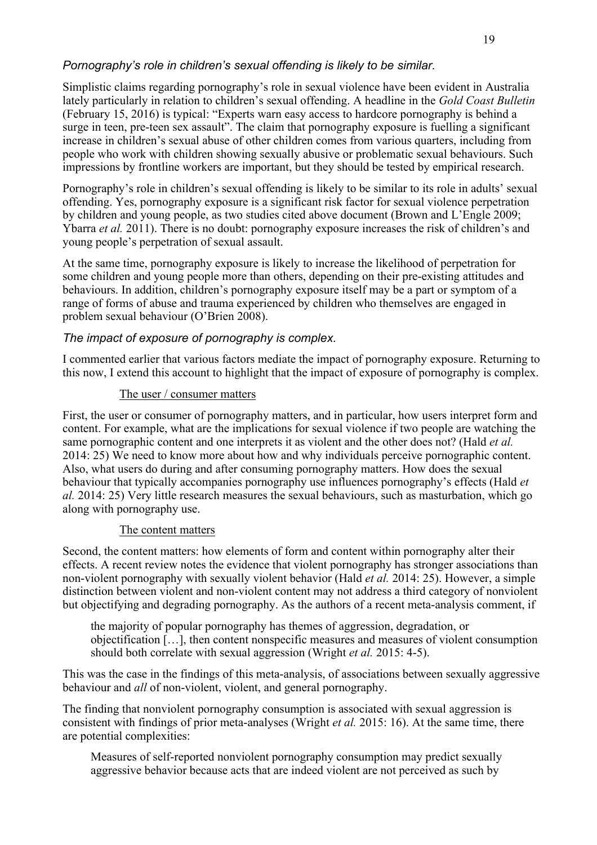## *Pornography's role in children's sexual offending is likely to be similar.*

Simplistic claims regarding pornography's role in sexual violence have been evident in Australia lately particularly in relation to children's sexual offending. A headline in the *Gold Coast Bulletin* (February 15, 2016) is typical: "Experts warn easy access to hardcore pornography is behind a surge in teen, pre-teen sex assault". The claim that pornography exposure is fuelling a significant increase in children's sexual abuse of other children comes from various quarters, including from people who work with children showing sexually abusive or problematic sexual behaviours. Such impressions by frontline workers are important, but they should be tested by empirical research.

Pornography's role in children's sexual offending is likely to be similar to its role in adults' sexual offending. Yes, pornography exposure is a significant risk factor for sexual violence perpetration by children and young people, as two studies cited above document (Brown and L'Engle 2009; Ybarra *et al.* 2011). There is no doubt: pornography exposure increases the risk of children's and young people's perpetration of sexual assault.

At the same time, pornography exposure is likely to increase the likelihood of perpetration for some children and young people more than others, depending on their pre-existing attitudes and behaviours. In addition, children's pornography exposure itself may be a part or symptom of a range of forms of abuse and trauma experienced by children who themselves are engaged in problem sexual behaviour (O'Brien 2008).

## *The impact of exposure of pornography is complex.*

I commented earlier that various factors mediate the impact of pornography exposure. Returning to this now, I extend this account to highlight that the impact of exposure of pornography is complex.

#### The user / consumer matters

First, the user or consumer of pornography matters, and in particular, how users interpret form and content. For example, what are the implications for sexual violence if two people are watching the same pornographic content and one interprets it as violent and the other does not? (Hald *et al.* 2014: 25) We need to know more about how and why individuals perceive pornographic content. Also, what users do during and after consuming pornography matters. How does the sexual behaviour that typically accompanies pornography use influences pornography's effects (Hald *et al.* 2014: 25) Very little research measures the sexual behaviours, such as masturbation, which go along with pornography use.

#### The content matters

Second, the content matters: how elements of form and content within pornography alter their effects. A recent review notes the evidence that violent pornography has stronger associations than non-violent pornography with sexually violent behavior (Hald *et al.* 2014: 25). However, a simple distinction between violent and non-violent content may not address a third category of nonviolent but objectifying and degrading pornography. As the authors of a recent meta-analysis comment, if

the majority of popular pornography has themes of aggression, degradation, or objectification […], then content nonspecific measures and measures of violent consumption should both correlate with sexual aggression (Wright *et al.* 2015: 4-5).

This was the case in the findings of this meta-analysis, of associations between sexually aggressive behaviour and *all* of non-violent, violent, and general pornography.

The finding that nonviolent pornography consumption is associated with sexual aggression is consistent with findings of prior meta-analyses (Wright *et al.* 2015: 16). At the same time, there are potential complexities:

Measures of self-reported nonviolent pornography consumption may predict sexually aggressive behavior because acts that are indeed violent are not perceived as such by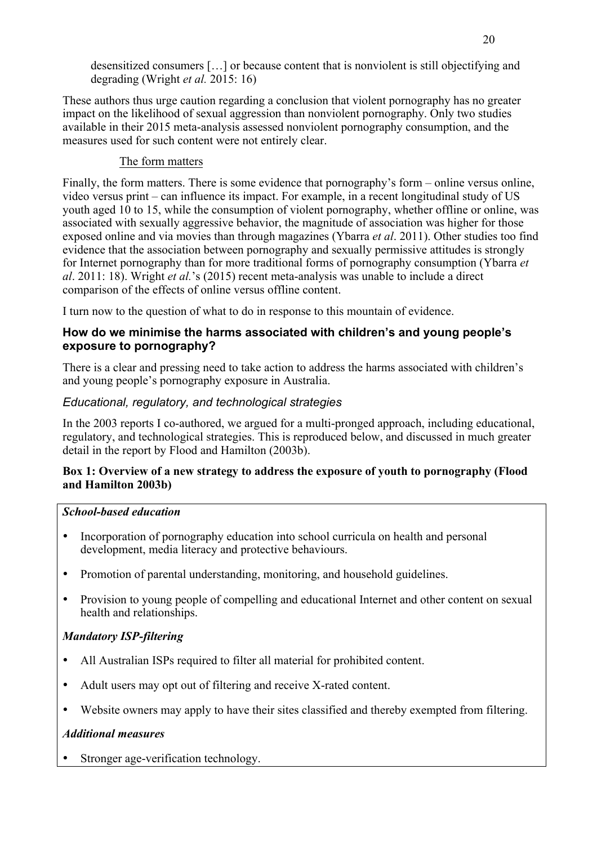desensitized consumers […] or because content that is nonviolent is still objectifying and degrading (Wright *et al.* 2015: 16)

These authors thus urge caution regarding a conclusion that violent pornography has no greater impact on the likelihood of sexual aggression than nonviolent pornography. Only two studies available in their 2015 meta-analysis assessed nonviolent pornography consumption, and the measures used for such content were not entirely clear.

### The form matters

Finally, the form matters. There is some evidence that pornography's form – online versus online, video versus print – can influence its impact. For example, in a recent longitudinal study of US youth aged 10 to 15, while the consumption of violent pornography, whether offline or online, was associated with sexually aggressive behavior, the magnitude of association was higher for those exposed online and via movies than through magazines (Ybarra *et al*. 2011). Other studies too find evidence that the association between pornography and sexually permissive attitudes is strongly for Internet pornography than for more traditional forms of pornography consumption (Ybarra *et al*. 2011: 18). Wright *et al.*'s (2015) recent meta-analysis was unable to include a direct comparison of the effects of online versus offline content.

I turn now to the question of what to do in response to this mountain of evidence.

### **How do we minimise the harms associated with children's and young people's exposure to pornography?**

There is a clear and pressing need to take action to address the harms associated with children's and young people's pornography exposure in Australia.

# *Educational, regulatory, and technological strategies*

In the 2003 reports I co-authored, we argued for a multi-pronged approach, including educational, regulatory, and technological strategies. This is reproduced below, and discussed in much greater detail in the report by Flood and Hamilton (2003b).

#### **Box 1: Overview of a new strategy to address the exposure of youth to pornography (Flood and Hamilton 2003b)**

## *School-based education*

- Incorporation of pornography education into school curricula on health and personal development, media literacy and protective behaviours.
- Promotion of parental understanding, monitoring, and household guidelines.
- Provision to young people of compelling and educational Internet and other content on sexual health and relationships.

# *Mandatory ISP-filtering*

- All Australian ISPs required to filter all material for prohibited content.
- Adult users may opt out of filtering and receive X-rated content.
- Website owners may apply to have their sites classified and thereby exempted from filtering.

#### *Additional measures*

Stronger age-verification technology.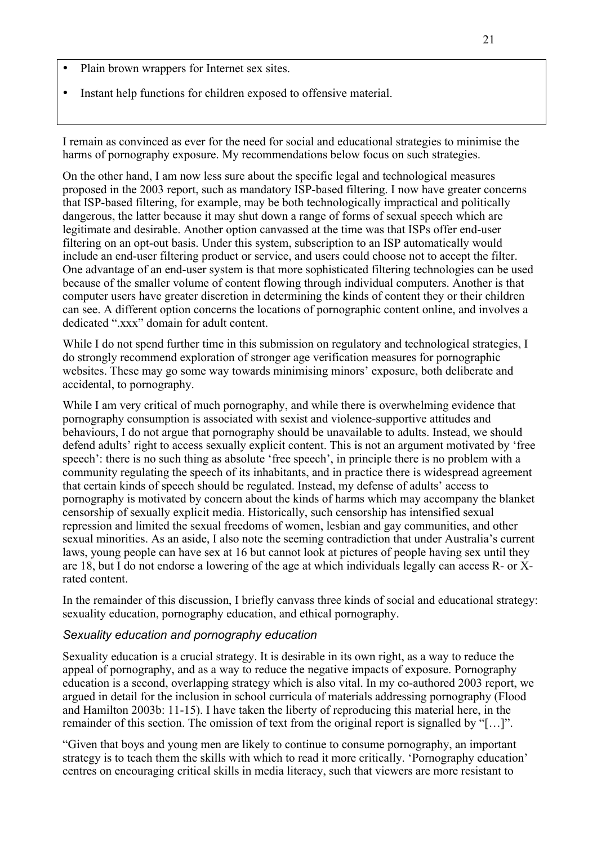- Plain brown wrappers for Internet sex sites.
- Instant help functions for children exposed to offensive material.

I remain as convinced as ever for the need for social and educational strategies to minimise the harms of pornography exposure. My recommendations below focus on such strategies.

On the other hand, I am now less sure about the specific legal and technological measures proposed in the 2003 report, such as mandatory ISP-based filtering. I now have greater concerns that ISP-based filtering, for example, may be both technologically impractical and politically dangerous, the latter because it may shut down a range of forms of sexual speech which are legitimate and desirable. Another option canvassed at the time was that ISPs offer end-user filtering on an opt-out basis. Under this system, subscription to an ISP automatically would include an end-user filtering product or service, and users could choose not to accept the filter. One advantage of an end-user system is that more sophisticated filtering technologies can be used because of the smaller volume of content flowing through individual computers. Another is that computer users have greater discretion in determining the kinds of content they or their children can see. A different option concerns the locations of pornographic content online, and involves a dedicated ".xxx" domain for adult content.

While I do not spend further time in this submission on regulatory and technological strategies, I do strongly recommend exploration of stronger age verification measures for pornographic websites. These may go some way towards minimising minors' exposure, both deliberate and accidental, to pornography.

While I am very critical of much pornography, and while there is overwhelming evidence that pornography consumption is associated with sexist and violence-supportive attitudes and behaviours, I do not argue that pornography should be unavailable to adults. Instead, we should defend adults' right to access sexually explicit content. This is not an argument motivated by 'free speech': there is no such thing as absolute 'free speech', in principle there is no problem with a community regulating the speech of its inhabitants, and in practice there is widespread agreement that certain kinds of speech should be regulated. Instead, my defense of adults' access to pornography is motivated by concern about the kinds of harms which may accompany the blanket censorship of sexually explicit media. Historically, such censorship has intensified sexual repression and limited the sexual freedoms of women, lesbian and gay communities, and other sexual minorities. As an aside, I also note the seeming contradiction that under Australia's current laws, young people can have sex at 16 but cannot look at pictures of people having sex until they are 18, but I do not endorse a lowering of the age at which individuals legally can access R- or Xrated content.

In the remainder of this discussion, I briefly canvass three kinds of social and educational strategy: sexuality education, pornography education, and ethical pornography.

#### *Sexuality education and pornography education*

Sexuality education is a crucial strategy. It is desirable in its own right, as a way to reduce the appeal of pornography, and as a way to reduce the negative impacts of exposure. Pornography education is a second, overlapping strategy which is also vital. In my co-authored 2003 report, we argued in detail for the inclusion in school curricula of materials addressing pornography (Flood and Hamilton 2003b: 11-15). I have taken the liberty of reproducing this material here, in the remainder of this section. The omission of text from the original report is signalled by "[…]".

"Given that boys and young men are likely to continue to consume pornography, an important strategy is to teach them the skills with which to read it more critically. 'Pornography education' centres on encouraging critical skills in media literacy, such that viewers are more resistant to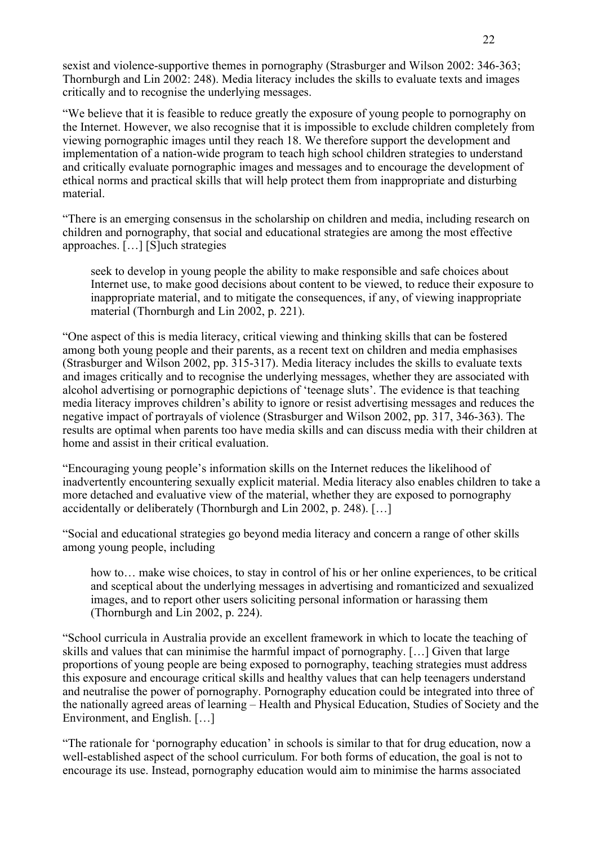sexist and violence-supportive themes in pornography (Strasburger and Wilson 2002: 346-363; Thornburgh and Lin 2002: 248). Media literacy includes the skills to evaluate texts and images critically and to recognise the underlying messages.

"We believe that it is feasible to reduce greatly the exposure of young people to pornography on the Internet. However, we also recognise that it is impossible to exclude children completely from viewing pornographic images until they reach 18. We therefore support the development and implementation of a nation-wide program to teach high school children strategies to understand and critically evaluate pornographic images and messages and to encourage the development of ethical norms and practical skills that will help protect them from inappropriate and disturbing material.

"There is an emerging consensus in the scholarship on children and media, including research on children and pornography, that social and educational strategies are among the most effective approaches. […] [S]uch strategies

seek to develop in young people the ability to make responsible and safe choices about Internet use, to make good decisions about content to be viewed, to reduce their exposure to inappropriate material, and to mitigate the consequences, if any, of viewing inappropriate material (Thornburgh and Lin 2002, p. 221).

"One aspect of this is media literacy, critical viewing and thinking skills that can be fostered among both young people and their parents, as a recent text on children and media emphasises (Strasburger and Wilson 2002, pp. 315-317). Media literacy includes the skills to evaluate texts and images critically and to recognise the underlying messages, whether they are associated with alcohol advertising or pornographic depictions of 'teenage sluts'. The evidence is that teaching media literacy improves children's ability to ignore or resist advertising messages and reduces the negative impact of portrayals of violence (Strasburger and Wilson 2002, pp. 317, 346-363). The results are optimal when parents too have media skills and can discuss media with their children at home and assist in their critical evaluation.

"Encouraging young people's information skills on the Internet reduces the likelihood of inadvertently encountering sexually explicit material. Media literacy also enables children to take a more detached and evaluative view of the material, whether they are exposed to pornography accidentally or deliberately (Thornburgh and Lin 2002, p. 248). […]

"Social and educational strategies go beyond media literacy and concern a range of other skills among young people, including

how to... make wise choices, to stay in control of his or her online experiences, to be critical and sceptical about the underlying messages in advertising and romanticized and sexualized images, and to report other users soliciting personal information or harassing them (Thornburgh and Lin 2002, p. 224).

"School curricula in Australia provide an excellent framework in which to locate the teaching of skills and values that can minimise the harmful impact of pornography. […] Given that large proportions of young people are being exposed to pornography, teaching strategies must address this exposure and encourage critical skills and healthy values that can help teenagers understand and neutralise the power of pornography. Pornography education could be integrated into three of the nationally agreed areas of learning – Health and Physical Education, Studies of Society and the Environment, and English. […]

"The rationale for 'pornography education' in schools is similar to that for drug education, now a well-established aspect of the school curriculum. For both forms of education, the goal is not to encourage its use. Instead, pornography education would aim to minimise the harms associated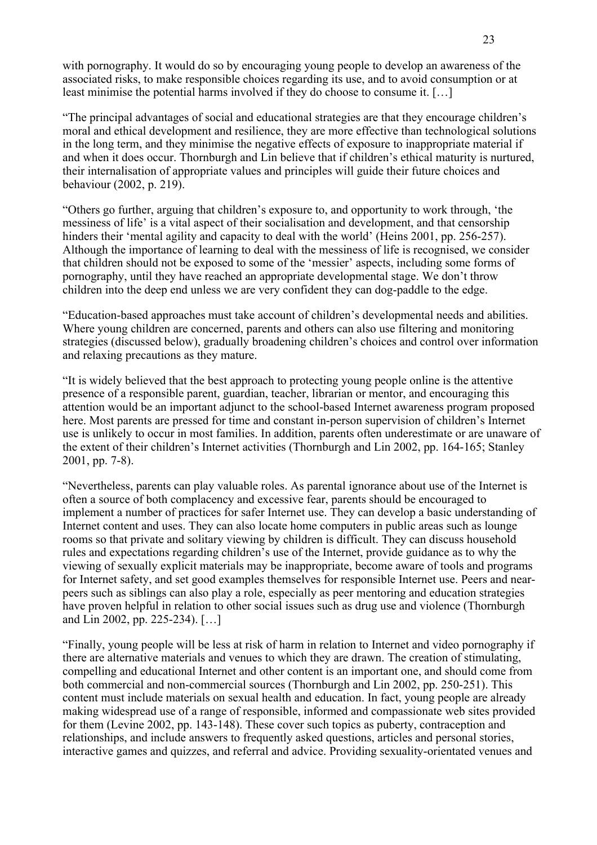with pornography. It would do so by encouraging young people to develop an awareness of the associated risks, to make responsible choices regarding its use, and to avoid consumption or at least minimise the potential harms involved if they do choose to consume it. […]

"The principal advantages of social and educational strategies are that they encourage children's moral and ethical development and resilience, they are more effective than technological solutions in the long term, and they minimise the negative effects of exposure to inappropriate material if and when it does occur. Thornburgh and Lin believe that if children's ethical maturity is nurtured, their internalisation of appropriate values and principles will guide their future choices and behaviour (2002, p. 219).

"Others go further, arguing that children's exposure to, and opportunity to work through, 'the messiness of life' is a vital aspect of their socialisation and development, and that censorship hinders their 'mental agility and capacity to deal with the world' (Heins 2001, pp. 256-257). Although the importance of learning to deal with the messiness of life is recognised, we consider that children should not be exposed to some of the 'messier' aspects, including some forms of pornography, until they have reached an appropriate developmental stage. We don't throw children into the deep end unless we are very confident they can dog-paddle to the edge.

"Education-based approaches must take account of children's developmental needs and abilities. Where young children are concerned, parents and others can also use filtering and monitoring strategies (discussed below), gradually broadening children's choices and control over information and relaxing precautions as they mature.

"It is widely believed that the best approach to protecting young people online is the attentive presence of a responsible parent, guardian, teacher, librarian or mentor, and encouraging this attention would be an important adjunct to the school-based Internet awareness program proposed here. Most parents are pressed for time and constant in-person supervision of children's Internet use is unlikely to occur in most families. In addition, parents often underestimate or are unaware of the extent of their children's Internet activities (Thornburgh and Lin 2002, pp. 164-165; Stanley 2001, pp. 7-8).

"Nevertheless, parents can play valuable roles. As parental ignorance about use of the Internet is often a source of both complacency and excessive fear, parents should be encouraged to implement a number of practices for safer Internet use. They can develop a basic understanding of Internet content and uses. They can also locate home computers in public areas such as lounge rooms so that private and solitary viewing by children is difficult. They can discuss household rules and expectations regarding children's use of the Internet, provide guidance as to why the viewing of sexually explicit materials may be inappropriate, become aware of tools and programs for Internet safety, and set good examples themselves for responsible Internet use. Peers and nearpeers such as siblings can also play a role, especially as peer mentoring and education strategies have proven helpful in relation to other social issues such as drug use and violence (Thornburgh and Lin 2002, pp. 225-234). […]

"Finally, young people will be less at risk of harm in relation to Internet and video pornography if there are alternative materials and venues to which they are drawn. The creation of stimulating, compelling and educational Internet and other content is an important one, and should come from both commercial and non-commercial sources (Thornburgh and Lin 2002, pp. 250-251). This content must include materials on sexual health and education. In fact, young people are already making widespread use of a range of responsible, informed and compassionate web sites provided for them (Levine 2002, pp. 143-148). These cover such topics as puberty, contraception and relationships, and include answers to frequently asked questions, articles and personal stories, interactive games and quizzes, and referral and advice. Providing sexuality-orientated venues and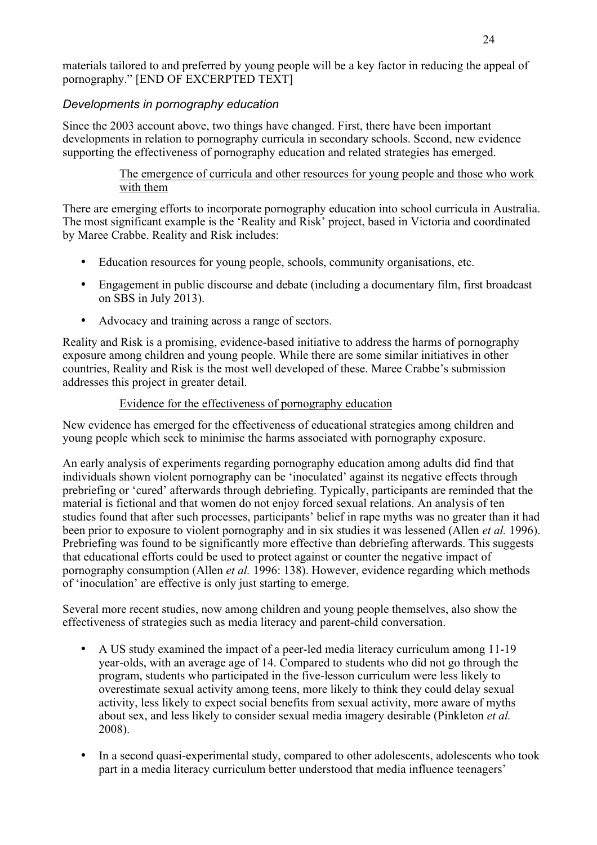materials tailored to and preferred by young people will be a key factor in reducing the appeal of pornography." [END OF EXCERPTED TEXT]

# *Developments in pornography education*

Since the 2003 account above, two things have changed. First, there have been important developments in relation to pornography curricula in secondary schools. Second, new evidence supporting the effectiveness of pornography education and related strategies has emerged.

#### The emergence of curricula and other resources for young people and those who work with them

There are emerging efforts to incorporate pornography education into school curricula in Australia. The most significant example is the 'Reality and Risk' project, based in Victoria and coordinated by Maree Crabbe. Reality and Risk includes:

- Education resources for young people, schools, community organisations, etc.
- Engagement in public discourse and debate (including a documentary film, first broadcast on SBS in July 2013).
- Advocacy and training across a range of sectors.

Reality and Risk is a promising, evidence-based initiative to address the harms of pornography exposure among children and young people. While there are some similar initiatives in other countries, Reality and Risk is the most well developed of these. Maree Crabbe's submission addresses this project in greater detail.

#### Evidence for the effectiveness of pornography education

New evidence has emerged for the effectiveness of educational strategies among children and young people which seek to minimise the harms associated with pornography exposure.

An early analysis of experiments regarding pornography education among adults did find that individuals shown violent pornography can be 'inoculated' against its negative effects through prebriefing or 'cured' afterwards through debriefing. Typically, participants are reminded that the material is fictional and that women do not enjoy forced sexual relations. An analysis of ten studies found that after such processes, participants' belief in rape myths was no greater than it had been prior to exposure to violent pornography and in six studies it was lessened (Allen *et al.* 1996). Prebriefing was found to be significantly more effective than debriefing afterwards. This suggests that educational efforts could be used to protect against or counter the negative impact of pornography consumption (Allen *et al.* 1996: 138). However, evidence regarding which methods of 'inoculation' are effective is only just starting to emerge.

Several more recent studies, now among children and young people themselves, also show the effectiveness of strategies such as media literacy and parent-child conversation.

- A US study examined the impact of a peer-led media literacy curriculum among 11-19 year-olds, with an average age of 14. Compared to students who did not go through the program, students who participated in the five-lesson curriculum were less likely to overestimate sexual activity among teens, more likely to think they could delay sexual activity, less likely to expect social benefits from sexual activity, more aware of myths about sex, and less likely to consider sexual media imagery desirable (Pinkleton *et al.* 2008).
- In a second quasi-experimental study, compared to other adolescents, adolescents who took part in a media literacy curriculum better understood that media influence teenagers'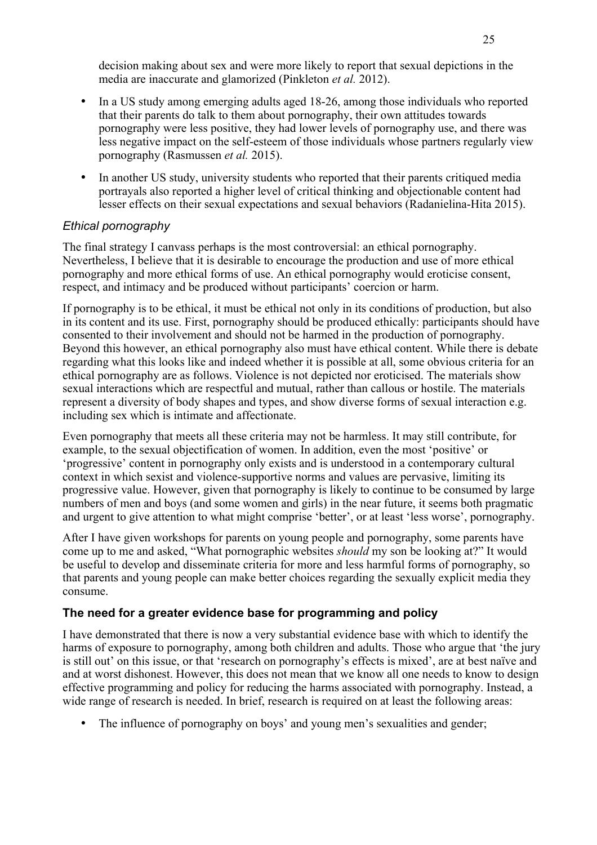decision making about sex and were more likely to report that sexual depictions in the media are inaccurate and glamorized (Pinkleton *et al.* 2012).

- In a US study among emerging adults aged 18-26, among those individuals who reported that their parents do talk to them about pornography, their own attitudes towards pornography were less positive, they had lower levels of pornography use, and there was less negative impact on the self-esteem of those individuals whose partners regularly view pornography (Rasmussen *et al.* 2015).
- In another US study, university students who reported that their parents critiqued media portrayals also reported a higher level of critical thinking and objectionable content had lesser effects on their sexual expectations and sexual behaviors (Radanielina-Hita 2015).

#### *Ethical pornography*

The final strategy I canvass perhaps is the most controversial: an ethical pornography. Nevertheless, I believe that it is desirable to encourage the production and use of more ethical pornography and more ethical forms of use. An ethical pornography would eroticise consent, respect, and intimacy and be produced without participants' coercion or harm.

If pornography is to be ethical, it must be ethical not only in its conditions of production, but also in its content and its use. First, pornography should be produced ethically: participants should have consented to their involvement and should not be harmed in the production of pornography. Beyond this however, an ethical pornography also must have ethical content. While there is debate regarding what this looks like and indeed whether it is possible at all, some obvious criteria for an ethical pornography are as follows. Violence is not depicted nor eroticised. The materials show sexual interactions which are respectful and mutual, rather than callous or hostile. The materials represent a diversity of body shapes and types, and show diverse forms of sexual interaction e.g. including sex which is intimate and affectionate.

Even pornography that meets all these criteria may not be harmless. It may still contribute, for example, to the sexual objectification of women. In addition, even the most 'positive' or 'progressive' content in pornography only exists and is understood in a contemporary cultural context in which sexist and violence-supportive norms and values are pervasive, limiting its progressive value. However, given that pornography is likely to continue to be consumed by large numbers of men and boys (and some women and girls) in the near future, it seems both pragmatic and urgent to give attention to what might comprise 'better', or at least 'less worse', pornography.

After I have given workshops for parents on young people and pornography, some parents have come up to me and asked, "What pornographic websites *should* my son be looking at?" It would be useful to develop and disseminate criteria for more and less harmful forms of pornography, so that parents and young people can make better choices regarding the sexually explicit media they consume.

# **The need for a greater evidence base for programming and policy**

I have demonstrated that there is now a very substantial evidence base with which to identify the harms of exposure to pornography, among both children and adults. Those who argue that 'the jury is still out' on this issue, or that 'research on pornography's effects is mixed', are at best naïve and and at worst dishonest. However, this does not mean that we know all one needs to know to design effective programming and policy for reducing the harms associated with pornography. Instead, a wide range of research is needed. In brief, research is required on at least the following areas:

• The influence of pornography on boys' and young men's sexualities and gender;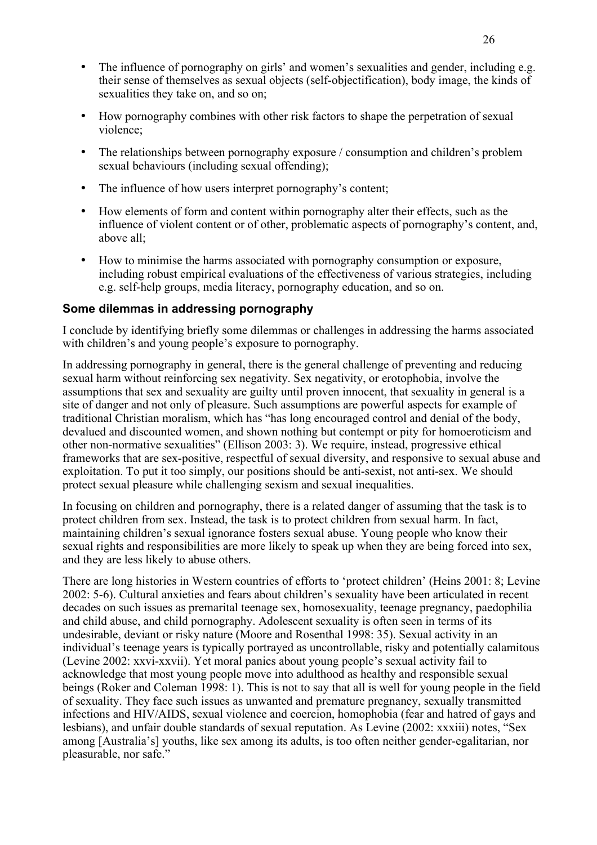- The influence of pornography on girls' and women's sexualities and gender, including e.g. their sense of themselves as sexual objects (self-objectification), body image, the kinds of sexualities they take on, and so on;
- How pornography combines with other risk factors to shape the perpetration of sexual violence;
- The relationships between pornography exposure / consumption and children's problem sexual behaviours (including sexual offending);
- The influence of how users interpret pornography's content;
- How elements of form and content within pornography alter their effects, such as the influence of violent content or of other, problematic aspects of pornography's content, and, above all;
- How to minimise the harms associated with pornography consumption or exposure, including robust empirical evaluations of the effectiveness of various strategies, including e.g. self-help groups, media literacy, pornography education, and so on.

#### **Some dilemmas in addressing pornography**

I conclude by identifying briefly some dilemmas or challenges in addressing the harms associated with children's and young people's exposure to pornography.

In addressing pornography in general, there is the general challenge of preventing and reducing sexual harm without reinforcing sex negativity. Sex negativity, or erotophobia, involve the assumptions that sex and sexuality are guilty until proven innocent, that sexuality in general is a site of danger and not only of pleasure. Such assumptions are powerful aspects for example of traditional Christian moralism, which has "has long encouraged control and denial of the body, devalued and discounted women, and shown nothing but contempt or pity for homoeroticism and other non-normative sexualities" (Ellison 2003: 3). We require, instead, progressive ethical frameworks that are sex-positive, respectful of sexual diversity, and responsive to sexual abuse and exploitation. To put it too simply, our positions should be anti-sexist, not anti-sex. We should protect sexual pleasure while challenging sexism and sexual inequalities.

In focusing on children and pornography, there is a related danger of assuming that the task is to protect children from sex. Instead, the task is to protect children from sexual harm. In fact, maintaining children's sexual ignorance fosters sexual abuse. Young people who know their sexual rights and responsibilities are more likely to speak up when they are being forced into sex, and they are less likely to abuse others.

There are long histories in Western countries of efforts to 'protect children' (Heins 2001: 8; Levine 2002: 5-6). Cultural anxieties and fears about children's sexuality have been articulated in recent decades on such issues as premarital teenage sex, homosexuality, teenage pregnancy, paedophilia and child abuse, and child pornography. Adolescent sexuality is often seen in terms of its undesirable, deviant or risky nature (Moore and Rosenthal 1998: 35). Sexual activity in an individual's teenage years is typically portrayed as uncontrollable, risky and potentially calamitous (Levine 2002: xxvi-xxvii). Yet moral panics about young people's sexual activity fail to acknowledge that most young people move into adulthood as healthy and responsible sexual beings (Roker and Coleman 1998: 1). This is not to say that all is well for young people in the field of sexuality. They face such issues as unwanted and premature pregnancy, sexually transmitted infections and HIV/AIDS, sexual violence and coercion, homophobia (fear and hatred of gays and lesbians), and unfair double standards of sexual reputation. As Levine (2002: xxxiii) notes, "Sex among [Australia's] youths, like sex among its adults, is too often neither gender-egalitarian, nor pleasurable, nor safe."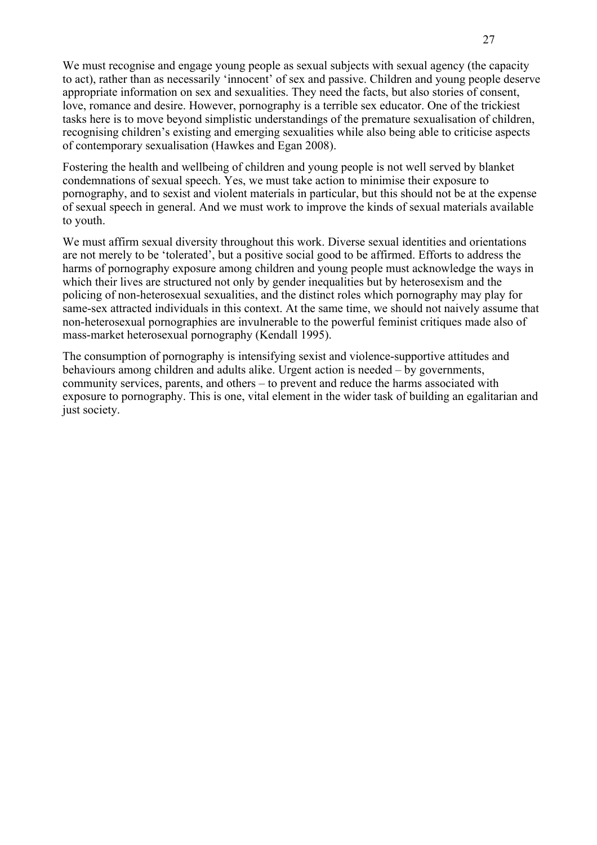We must recognise and engage young people as sexual subjects with sexual agency (the capacity to act), rather than as necessarily 'innocent' of sex and passive. Children and young people deserve appropriate information on sex and sexualities. They need the facts, but also stories of consent, love, romance and desire. However, pornography is a terrible sex educator. One of the trickiest tasks here is to move beyond simplistic understandings of the premature sexualisation of children, recognising children's existing and emerging sexualities while also being able to criticise aspects of contemporary sexualisation (Hawkes and Egan 2008).

Fostering the health and wellbeing of children and young people is not well served by blanket condemnations of sexual speech. Yes, we must take action to minimise their exposure to pornography, and to sexist and violent materials in particular, but this should not be at the expense of sexual speech in general. And we must work to improve the kinds of sexual materials available to youth.

We must affirm sexual diversity throughout this work. Diverse sexual identities and orientations are not merely to be 'tolerated', but a positive social good to be affirmed. Efforts to address the harms of pornography exposure among children and young people must acknowledge the ways in which their lives are structured not only by gender inequalities but by heterosexism and the policing of non-heterosexual sexualities, and the distinct roles which pornography may play for same-sex attracted individuals in this context. At the same time, we should not naively assume that non-heterosexual pornographies are invulnerable to the powerful feminist critiques made also of mass-market heterosexual pornography (Kendall 1995).

The consumption of pornography is intensifying sexist and violence-supportive attitudes and behaviours among children and adults alike. Urgent action is needed – by governments, community services, parents, and others – to prevent and reduce the harms associated with exposure to pornography. This is one, vital element in the wider task of building an egalitarian and just society.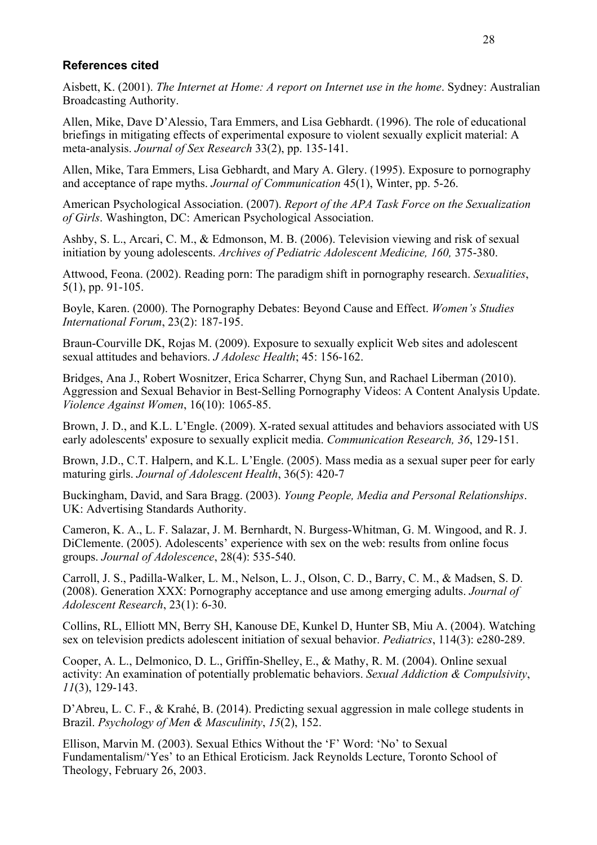#### **References cited**

Aisbett, K. (2001). *The Internet at Home: A report on Internet use in the home*. Sydney: Australian Broadcasting Authority.

Allen, Mike, Dave D'Alessio, Tara Emmers, and Lisa Gebhardt. (1996). The role of educational briefings in mitigating effects of experimental exposure to violent sexually explicit material: A meta-analysis. *Journal of Sex Research* 33(2), pp. 135-141.

Allen, Mike, Tara Emmers, Lisa Gebhardt, and Mary A. Glery. (1995). Exposure to pornography and acceptance of rape myths. *Journal of Communication* 45(1), Winter, pp. 5-26.

American Psychological Association. (2007). *Report of the APA Task Force on the Sexualization of Girls*. Washington, DC: American Psychological Association.

Ashby, S. L., Arcari, C. M., & Edmonson, M. B. (2006). Television viewing and risk of sexual initiation by young adolescents. *Archives of Pediatric Adolescent Medicine*, 160, 375-380.

Attwood, Feona. (2002). Reading porn: The paradigm shift in pornography research. *Sexualities*, 5(1), pp. 91-105.

Boyle, Karen. (2000). The Pornography Debates: Beyond Cause and Effect. *Women's Studies International Forum*, 23(2): 187-195.

Braun-Courville DK, Rojas M. (2009). Exposure to sexually explicit Web sites and adolescent sexual attitudes and behaviors. *J Adolesc Health*; 45: 156-162.

Bridges, Ana J., Robert Wosnitzer, Erica Scharrer, Chyng Sun, and Rachael Liberman (2010). Aggression and Sexual Behavior in Best-Selling Pornography Videos: A Content Analysis Update. *Violence Against Women*, 16(10): 1065-85.

Brown, J. D., and K.L. L'Engle. (2009). X-rated sexual attitudes and behaviors associated with US early adolescents' exposure to sexually explicit media. *Communication Research, 36*, 129-151.

Brown, J.D., C.T. Halpern, and K.L. L'Engle. (2005). Mass media as a sexual super peer for early maturing girls. *Journal of Adolescent Health*, 36(5): 420-7

Buckingham, David, and Sara Bragg. (2003). *Young People, Media and Personal Relationships*. UK: Advertising Standards Authority.

Cameron, K. A., L. F. Salazar, J. M. Bernhardt, N. Burgess-Whitman, G. M. Wingood, and R. J. DiClemente. (2005). Adolescents' experience with sex on the web: results from online focus groups. *Journal of Adolescence*, 28(4): 535-540.

Carroll, J. S., Padilla-Walker, L. M., Nelson, L. J., Olson, C. D., Barry, C. M., & Madsen, S. D. (2008). Generation XXX: Pornography acceptance and use among emerging adults. *Journal of Adolescent Research*, 23(1): 6-30.

Collins, RL, Elliott MN, Berry SH, Kanouse DE, Kunkel D, Hunter SB, Miu A. (2004). Watching sex on television predicts adolescent initiation of sexual behavior. *Pediatrics*, 114(3): e280-289.

Cooper, A. L., Delmonico, D. L., Griffin-Shelley, E., & Mathy, R. M. (2004). Online sexual activity: An examination of potentially problematic behaviors. *Sexual Addiction & Compulsivity*, *11*(3), 129-143.

D'Abreu, L. C. F., & Krahé, B. (2014). Predicting sexual aggression in male college students in Brazil. *Psychology of Men & Masculinity*, *15*(2), 152.

Ellison, Marvin M. (2003). Sexual Ethics Without the 'F' Word: 'No' to Sexual Fundamentalism/'Yes' to an Ethical Eroticism. Jack Reynolds Lecture, Toronto School of Theology, February 26, 2003.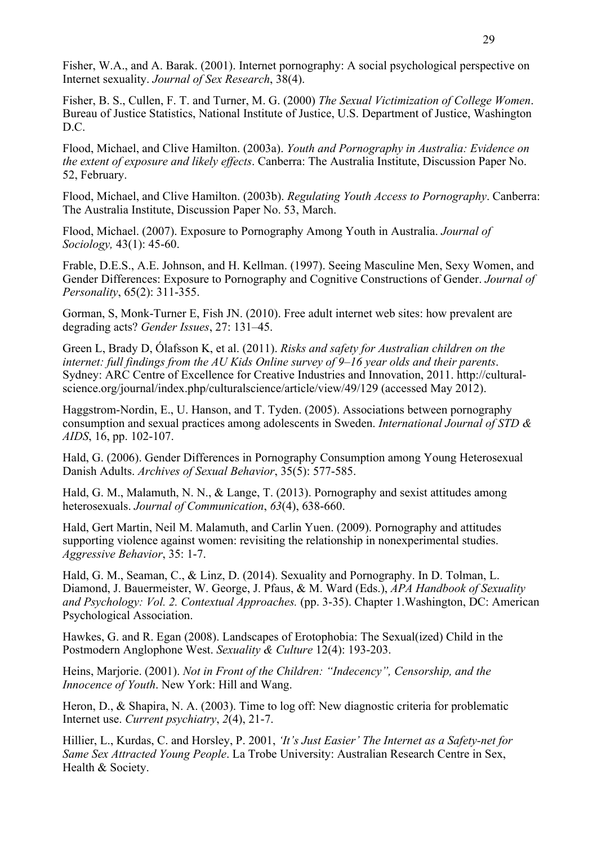Fisher, W.A., and A. Barak. (2001). Internet pornography: A social psychological perspective on Internet sexuality. *Journal of Sex Research*, 38(4).

Fisher, B. S., Cullen, F. T. and Turner, M. G. (2000) *The Sexual Victimization of College Women*. Bureau of Justice Statistics, National Institute of Justice, U.S. Department of Justice, Washington D.C.

Flood, Michael, and Clive Hamilton. (2003a). *Youth and Pornography in Australia: Evidence on the extent of exposure and likely effects*. Canberra: The Australia Institute, Discussion Paper No. 52, February.

Flood, Michael, and Clive Hamilton. (2003b). *Regulating Youth Access to Pornography*. Canberra: The Australia Institute, Discussion Paper No. 53, March.

Flood, Michael. (2007). Exposure to Pornography Among Youth in Australia. *Journal of Sociology,* 43(1): 45-60.

Frable, D.E.S., A.E. Johnson, and H. Kellman. (1997). Seeing Masculine Men, Sexy Women, and Gender Differences: Exposure to Pornography and Cognitive Constructions of Gender. *Journal of Personality*, 65(2): 311-355.

Gorman, S, Monk-Turner E, Fish JN. (2010). Free adult internet web sites: how prevalent are degrading acts? *Gender Issues*, 27: 131–45.

Green L, Brady D, Ólafsson K, et al. (2011). *Risks and safety for Australian children on the internet: full findings from the AU Kids Online survey of 9–16 year olds and their parents*. Sydney: ARC Centre of Excellence for Creative Industries and Innovation, 2011. http://culturalscience.org/journal/index.php/culturalscience/article/view/49/129 (accessed May 2012).

Haggstrom-Nordin, E., U. Hanson, and T. Tyden. (2005). Associations between pornography consumption and sexual practices among adolescents in Sweden. *International Journal of STD & AIDS*, 16, pp. 102-107.

Hald, G. (2006). Gender Differences in Pornography Consumption among Young Heterosexual Danish Adults. *Archives of Sexual Behavior*, 35(5): 577-585.

Hald, G. M., Malamuth, N. N., & Lange, T. (2013). Pornography and sexist attitudes among heterosexuals. *Journal of Communication*, *63*(4), 638-660.

Hald, Gert Martin, Neil M. Malamuth, and Carlin Yuen. (2009). Pornography and attitudes supporting violence against women: revisiting the relationship in nonexperimental studies. *Aggressive Behavior*, 35: 1-7.

Hald, G. M., Seaman, C., & Linz, D. (2014). Sexuality and Pornography. In D. Tolman, L. Diamond, J. Bauermeister, W. George, J. Pfaus, & M. Ward (Eds.), *APA Handbook of Sexuality and Psychology: Vol. 2. Contextual Approaches.* (pp. 3-35). Chapter 1.Washington, DC: American Psychological Association.

Hawkes, G. and R. Egan (2008). Landscapes of Erotophobia: The Sexual(ized) Child in the Postmodern Anglophone West. *Sexuality & Culture* 12(4): 193-203.

Heins, Marjorie. (2001). *Not in Front of the Children: "Indecency", Censorship, and the Innocence of Youth*. New York: Hill and Wang.

Heron, D., & Shapira, N. A. (2003). Time to log off: New diagnostic criteria for problematic Internet use. *Current psychiatry*, *2*(4), 21-7.

Hillier, L., Kurdas, C. and Horsley, P. 2001, *'It's Just Easier' The Internet as a Safety-net for Same Sex Attracted Young People*. La Trobe University: Australian Research Centre in Sex, Health & Society.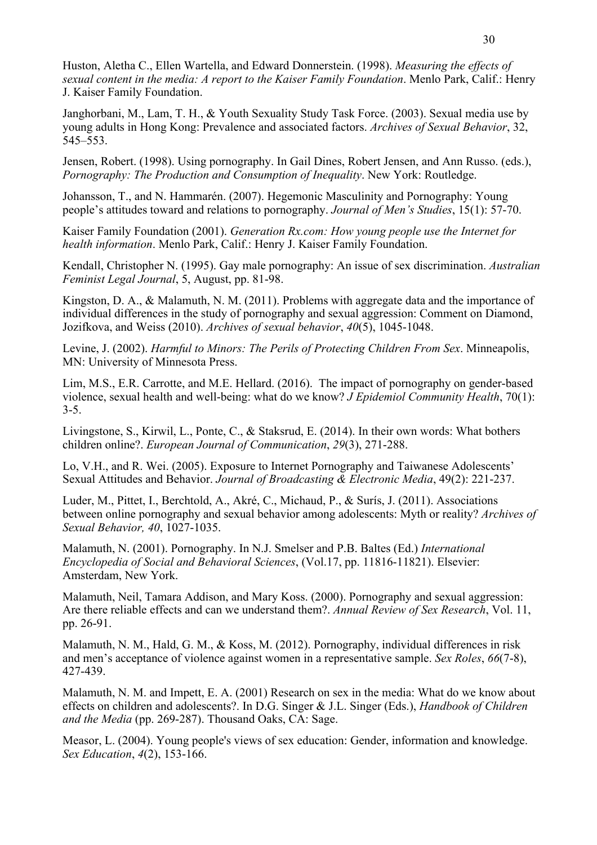Huston, Aletha C., Ellen Wartella, and Edward Donnerstein. (1998). *Measuring the effects of sexual content in the media: A report to the Kaiser Family Foundation*. Menlo Park, Calif.: Henry J. Kaiser Family Foundation.

Janghorbani, M., Lam, T. H., & Youth Sexuality Study Task Force. (2003). Sexual media use by young adults in Hong Kong: Prevalence and associated factors. *Archives of Sexual Behavior*, 32, 545–553.

Jensen, Robert. (1998). Using pornography. In Gail Dines, Robert Jensen, and Ann Russo. (eds.), *Pornography: The Production and Consumption of Inequality*. New York: Routledge.

Johansson, T., and N. Hammarén. (2007). Hegemonic Masculinity and Pornography: Young people's attitudes toward and relations to pornography. *Journal of Men's Studies*, 15(1): 57-70.

Kaiser Family Foundation (2001). *Generation Rx.com: How young people use the Internet for health information*. Menlo Park, Calif.: Henry J. Kaiser Family Foundation.

Kendall, Christopher N. (1995). Gay male pornography: An issue of sex discrimination. *Australian Feminist Legal Journal*, 5, August, pp. 81-98.

Kingston, D. A., & Malamuth, N. M. (2011). Problems with aggregate data and the importance of individual differences in the study of pornography and sexual aggression: Comment on Diamond, Jozifkova, and Weiss (2010). *Archives of sexual behavior*, *40*(5), 1045-1048.

Levine, J. (2002). *Harmful to Minors: The Perils of Protecting Children From Sex*. Minneapolis, MN: University of Minnesota Press.

Lim, M.S., E.R. Carrotte, and M.E. Hellard. (2016). The impact of pornography on gender-based violence, sexual health and well-being: what do we know? *J Epidemiol Community Health*, 70(1): 3-5.

Livingstone, S., Kirwil, L., Ponte, C., & Staksrud, E. (2014). In their own words: What bothers children online?. *European Journal of Communication*, *29*(3), 271-288.

Lo, V.H., and R. Wei. (2005). Exposure to Internet Pornography and Taiwanese Adolescents' Sexual Attitudes and Behavior. *Journal of Broadcasting & Electronic Media*, 49(2): 221-237.

Luder, M., Pittet, I., Berchtold, A., Akré, C., Michaud, P., & Surís, J. (2011). Associations between online pornography and sexual behavior among adolescents: Myth or reality? *Archives of Sexual Behavior, 40*, 1027-1035.

Malamuth, N. (2001). Pornography. In N.J. Smelser and P.B. Baltes (Ed.) *International Encyclopedia of Social and Behavioral Sciences*, (Vol.17, pp. 11816-11821). Elsevier: Amsterdam, New York.

Malamuth, Neil, Tamara Addison, and Mary Koss. (2000). Pornography and sexual aggression: Are there reliable effects and can we understand them?. *Annual Review of Sex Research*, Vol. 11, pp. 26-91.

Malamuth, N. M., Hald, G. M., & Koss, M. (2012). Pornography, individual differences in risk and men's acceptance of violence against women in a representative sample. *Sex Roles*, *66*(7-8), 427-439.

Malamuth, N. M. and Impett, E. A. (2001) Research on sex in the media: What do we know about effects on children and adolescents?. In D.G. Singer & J.L. Singer (Eds.), *Handbook of Children and the Media* (pp. 269-287). Thousand Oaks, CA: Sage.

Measor, L. (2004). Young people's views of sex education: Gender, information and knowledge. *Sex Education*, *4*(2), 153-166.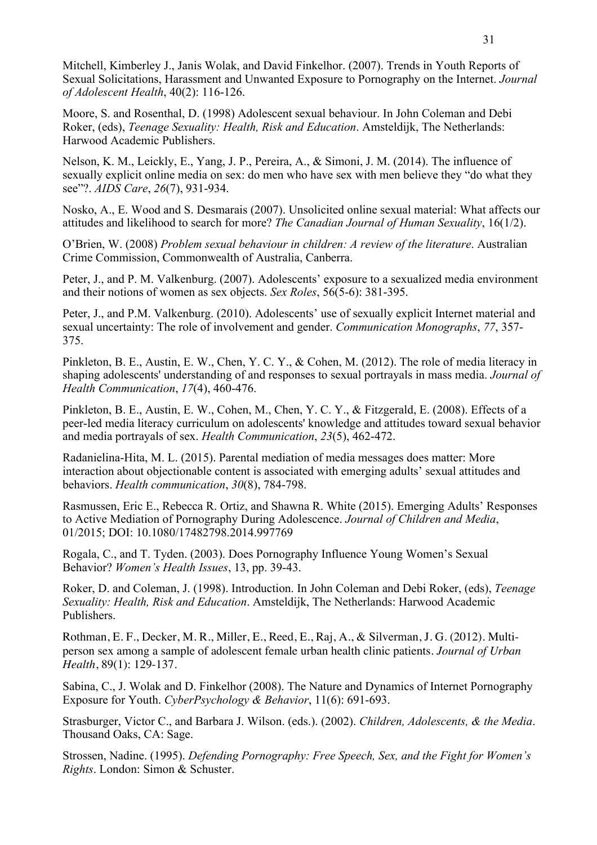Mitchell, Kimberley J., Janis Wolak, and David Finkelhor. (2007). Trends in Youth Reports of Sexual Solicitations, Harassment and Unwanted Exposure to Pornography on the Internet. *Journal of Adolescent Health*, 40(2): 116-126.

Moore, S. and Rosenthal, D. (1998) Adolescent sexual behaviour. In John Coleman and Debi Roker, (eds), *Teenage Sexuality: Health, Risk and Education*. Amsteldijk, The Netherlands: Harwood Academic Publishers.

Nelson, K. M., Leickly, E., Yang, J. P., Pereira, A., & Simoni, J. M. (2014). The influence of sexually explicit online media on sex: do men who have sex with men believe they "do what they see"?. *AIDS Care*, *26*(7), 931-934.

Nosko, A., E. Wood and S. Desmarais (2007). Unsolicited online sexual material: What affects our attitudes and likelihood to search for more? *The Canadian Journal of Human Sexuality*, 16(1/2).

O'Brien, W. (2008) *Problem sexual behaviour in children: A review of the literature*. Australian Crime Commission, Commonwealth of Australia, Canberra.

Peter, J., and P. M. Valkenburg. (2007). Adolescents' exposure to a sexualized media environment and their notions of women as sex objects. *Sex Roles*, 56(5-6): 381-395.

Peter, J., and P.M. Valkenburg. (2010). Adolescents' use of sexually explicit Internet material and sexual uncertainty: The role of involvement and gender. *Communication Monographs*, *77*, 357- 375.

Pinkleton, B. E., Austin, E. W., Chen, Y. C. Y., & Cohen, M. (2012). The role of media literacy in shaping adolescents' understanding of and responses to sexual portrayals in mass media. *Journal of Health Communication*, *17*(4), 460-476.

Pinkleton, B. E., Austin, E. W., Cohen, M., Chen, Y. C. Y., & Fitzgerald, E. (2008). Effects of a peer-led media literacy curriculum on adolescents' knowledge and attitudes toward sexual behavior and media portrayals of sex. *Health Communication*, *23*(5), 462-472.

Radanielina-Hita, M. L. (2015). Parental mediation of media messages does matter: More interaction about objectionable content is associated with emerging adults' sexual attitudes and behaviors. *Health communication*, *30*(8), 784-798.

Rasmussen, Eric E., Rebecca R. Ortiz, and Shawna R. White (2015). Emerging Adults' Responses to Active Mediation of Pornography During Adolescence. *Journal of Children and Media*, 01/2015; DOI: 10.1080/17482798.2014.997769

Rogala, C., and T. Tyden. (2003). Does Pornography Influence Young Women's Sexual Behavior? *Women's Health Issues*, 13, pp. 39-43.

Roker, D. and Coleman, J. (1998). Introduction. In John Coleman and Debi Roker, (eds), *Teenage Sexuality: Health, Risk and Education*. Amsteldijk, The Netherlands: Harwood Academic Publishers.

Rothman, E. F., Decker, M. R., Miller, E., Reed, E., Raj, A., & Silverman, J. G. (2012). Multiperson sex among a sample of adolescent female urban health clinic patients. *Journal of Urban Health*, 89(1): 129-137.

Sabina, C., J. Wolak and D. Finkelhor (2008). The Nature and Dynamics of Internet Pornography Exposure for Youth. *CyberPsychology & Behavior*, 11(6): 691-693.

Strasburger, Victor C., and Barbara J. Wilson. (eds.). (2002). *Children, Adolescents, & the Media*. Thousand Oaks, CA: Sage.

Strossen, Nadine. (1995). *Defending Pornography: Free Speech, Sex, and the Fight for Women's Rights*. London: Simon & Schuster.